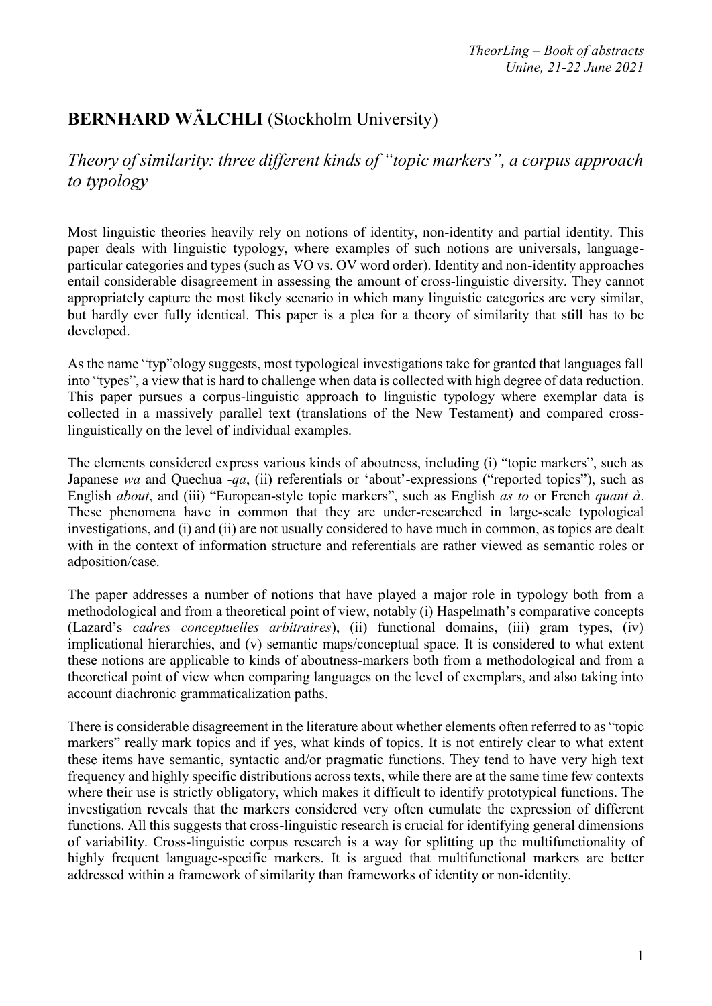# **BERNHARD WÄLCHLI** (Stockholm University)

*Theory of similarity: three different kinds of "topic markers", a corpus approach to typology*

Most linguistic theories heavily rely on notions of identity, non-identity and partial identity. This paper deals with linguistic typology, where examples of such notions are universals, languageparticular categories and types (such as VO vs. OV word order). Identity and non-identity approaches entail considerable disagreement in assessing the amount of cross-linguistic diversity. They cannot appropriately capture the most likely scenario in which many linguistic categories are very similar, but hardly ever fully identical. This paper is a plea for a theory of similarity that still has to be developed.

As the name "typ"ology suggests, most typological investigations take for granted that languages fall into "types", a view that is hard to challenge when data is collected with high degree of data reduction. This paper pursues a corpus-linguistic approach to linguistic typology where exemplar data is collected in a massively parallel text (translations of the New Testament) and compared crosslinguistically on the level of individual examples.

The elements considered express various kinds of aboutness, including (i) "topic markers", such as Japanese *wa* and Quechua -*qa*, (ii) referentials or 'about'-expressions ("reported topics"), such as English *about*, and (iii) "European-style topic markers", such as English *as to* or French *quant à*. These phenomena have in common that they are under-researched in large-scale typological investigations, and (i) and (ii) are not usually considered to have much in common, as topics are dealt with in the context of information structure and referentials are rather viewed as semantic roles or adposition/case.

The paper addresses a number of notions that have played a major role in typology both from a methodological and from a theoretical point of view, notably (i) Haspelmath's comparative concepts (Lazard's *cadres conceptuelles arbitraires*), (ii) functional domains, (iii) gram types, (iv) implicational hierarchies, and (v) semantic maps/conceptual space. It is considered to what extent these notions are applicable to kinds of aboutness-markers both from a methodological and from a theoretical point of view when comparing languages on the level of exemplars, and also taking into account diachronic grammaticalization paths.

There is considerable disagreement in the literature about whether elements often referred to as "topic markers" really mark topics and if yes, what kinds of topics. It is not entirely clear to what extent these items have semantic, syntactic and/or pragmatic functions. They tend to have very high text frequency and highly specific distributions across texts, while there are at the same time few contexts where their use is strictly obligatory, which makes it difficult to identify prototypical functions. The investigation reveals that the markers considered very often cumulate the expression of different functions. All this suggests that cross-linguistic research is crucial for identifying general dimensions of variability. Cross-linguistic corpus research is a way for splitting up the multifunctionality of highly frequent language-specific markers. It is argued that multifunctional markers are better addressed within a framework of similarity than frameworks of identity or non-identity.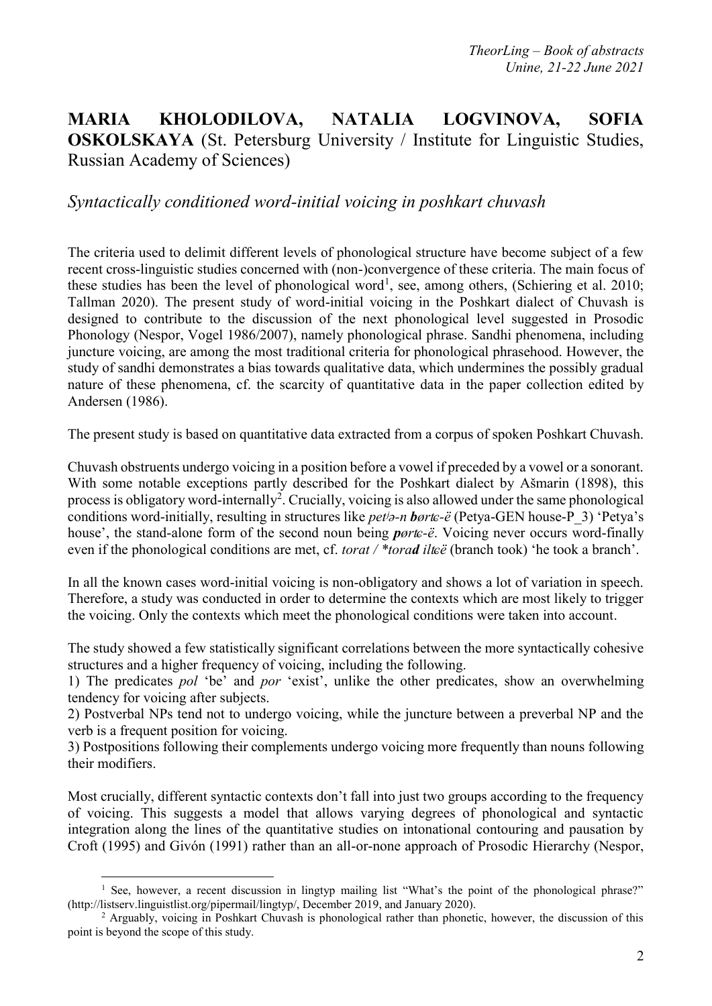## **MARIA KHOLODILOVA, NATALIA LOGVINOVA, SOFIA OSKOLSKAYA** (St. Petersburg University / Institute for Linguistic Studies, Russian Academy of Sciences)

#### *Syntactically conditioned word-initial voicing in poshkart chuvash*

The criteria used to delimit different levels of phonological structure have become subject of a few recent cross-linguistic studies concerned with (non-)convergence of these criteria. The main focus of these studies has been the level of phonological word<sup>1</sup>, see, among others, (Schiering et al. 2010; Tallman 2020). The present study of word-initial voicing in the Poshkart dialect of Chuvash is designed to contribute to the discussion of the next phonological level suggested in Prosodic Phonology (Nespor, Vogel 1986/2007), namely phonological phrase. Sandhi phenomena, including juncture voicing, are among the most traditional criteria for phonological phrasehood. However, the study of sandhi demonstrates a bias towards qualitative data, which undermines the possibly gradual nature of these phenomena, cf. the scarcity of quantitative data in the paper collection edited by Andersen (1986).

The present study is based on quantitative data extracted from a corpus of spoken Poshkart Chuvash.

Chuvash obstruents undergo voicing in a position before a vowel if preceded by a vowel or a sonorant. With some notable exceptions partly described for the Poshkart dialect by Ašmarin (1898), this process is obligatory word-internally<sup>2</sup>. Crucially, voicing is also allowed under the same phonological conditions word-initially, resulting in structures like *petʲə-n børʨ-ë* (Petya-GEN house-P\_3) 'Petya's house', the stand-alone form of the second noun being *pørʨ-ë*. Voicing never occurs word-finally even if the phonological conditions are met, cf. *torat* / \**torad ilteë* (branch took) 'he took a branch'.

In all the known cases word-initial voicing is non-obligatory and shows a lot of variation in speech. Therefore, a study was conducted in order to determine the contexts which are most likely to trigger the voicing. Only the contexts which meet the phonological conditions were taken into account.

The study showed a few statistically significant correlations between the more syntactically cohesive structures and a higher frequency of voicing, including the following.

1) The predicates *pol* 'be' and *por* 'exist', unlike the other predicates, show an overwhelming tendency for voicing after subjects.

2) Postverbal NPs tend not to undergo voicing, while the juncture between a preverbal NP and the verb is a frequent position for voicing.

3) Postpositions following their complements undergo voicing more frequently than nouns following their modifiers.

Most crucially, different syntactic contexts don't fall into just two groups according to the frequency of voicing. This suggests a model that allows varying degrees of phonological and syntactic integration along the lines of the quantitative studies on intonational contouring and pausation by Croft (1995) and Givón (1991) rather than an all-or-none approach of Prosodic Hierarchy (Nespor,

 $\overline{a}$ 

<sup>&</sup>lt;sup>1</sup> See, however, a recent discussion in lingtyp mailing list "What's the point of the phonological phrase?" (http://listserv.linguistlist.org/pipermail/lingtyp/, December 2019, and January 2020).

<sup>&</sup>lt;sup>2</sup> Arguably, voicing in Poshkart Chuvash is phonological rather than phonetic, however, the discussion of this point is beyond the scope of this study.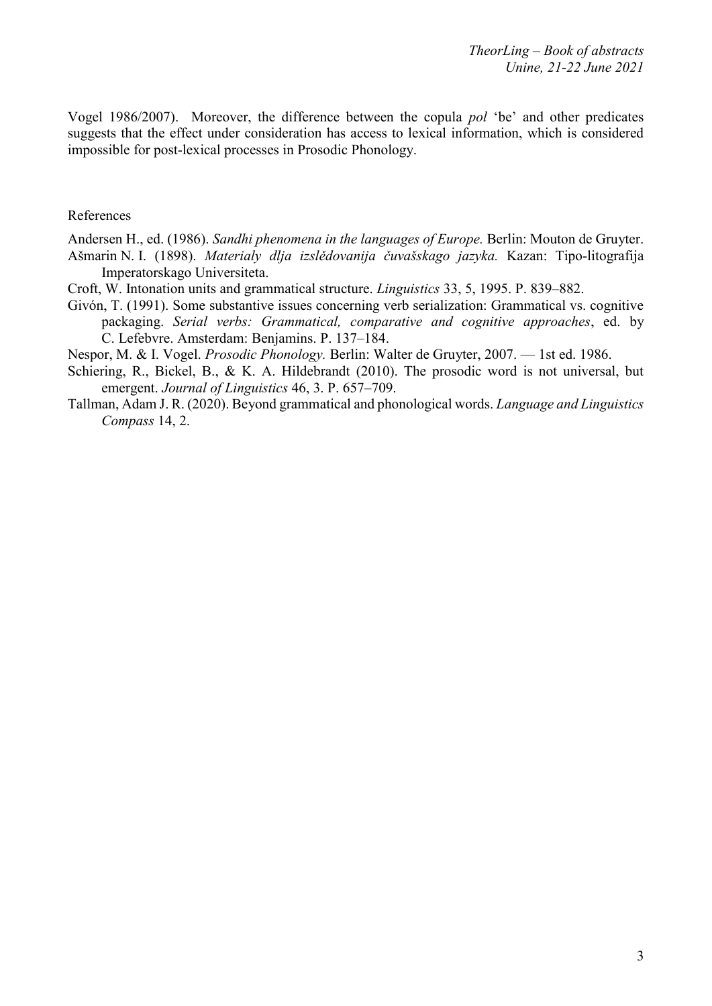Vogel 1986/2007). Moreover, the difference between the copula *pol* 'be' and other predicates suggests that the effect under consideration has access to lexical information, which is considered impossible for post-lexical processes in Prosodic Phonology.

#### References

Andersen H., ed. (1986). *Sandhi phenomena in the languages of Europe.* Berlin: Mouton de Gruyter. Ašmarin N. I. (1898). *Materialy dlja izslědovanіja čuvašskago jazyka.* Kazan: Tipo-litografіja Imperatorskago Universiteta.

- Croft, W. Intonation units and grammatical structure. *Linguistics* 33, 5, 1995. P. 839–882.
- Givón, T. (1991). Some substantive issues concerning verb serialization: Grammatical vs. cognitive packaging. *Serial verbs: Grammatical, comparative and cognitive approaches*, ed. by C. Lefebvre. Amsterdam: Benjamins. P. 137–184.

Nespor, M. & I. Vogel. *Prosodic Phonology.* Berlin: Walter de Gruyter, 2007. — 1st ed. 1986.

- Schiering, R., Bickel, B., & K. A. Hildebrandt (2010). The prosodic word is not universal, but emergent. *Journal of Linguistics* 46, 3. P. 657–709.
- Tallman, Adam J. R. (2020). Beyond grammatical and phonological words. *Language and Linguistics Compass* 14, 2.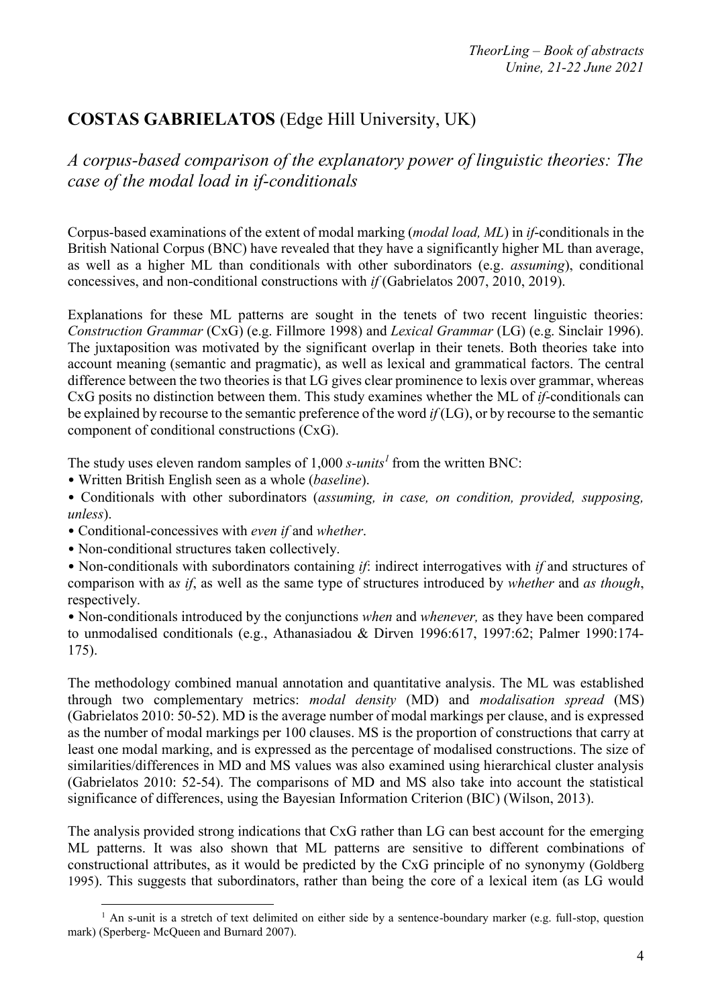# **COSTAS GABRIELATOS** (Edge Hill University, UK)

*A corpus-based comparison of the explanatory power of linguistic theories: The case of the modal load in if-conditionals*

Corpus-based examinations of the extent of modal marking (*modal load, ML*) in *if*-conditionals in the British National Corpus (BNC) have revealed that they have a significantly higher ML than average, as well as a higher ML than conditionals with other subordinators (e.g. *assuming*), conditional concessives, and non-conditional constructions with *if* (Gabrielatos 2007, 2010, 2019).

Explanations for these ML patterns are sought in the tenets of two recent linguistic theories: *Construction Grammar* (CxG) (e.g. Fillmore 1998) and *Lexical Grammar* (LG) (e.g. Sinclair 1996). The juxtaposition was motivated by the significant overlap in their tenets. Both theories take into account meaning (semantic and pragmatic), as well as lexical and grammatical factors. The central difference between the two theories is that LG gives clear prominence to lexis over grammar, whereas CxG posits no distinction between them. This study examines whether the ML of *if*-conditionals can be explained by recourse to the semantic preference of the word *if* (LG), or by recourse to the semantic component of conditional constructions (CxG).

The study uses eleven random samples of 1,000 *s-units<sup>1</sup>* from the written BNC:

• Written British English seen as a whole (*baseline*).

• Conditionals with other subordinators (*assuming, in case, on condition, provided, supposing, unless*).

• Conditional-concessives with *even if* and *whether*.

• Non-conditional structures taken collectively.

 $\overline{a}$ 

• Non-conditionals with subordinators containing *if*: indirect interrogatives with *if* and structures of comparison with a*s if*, as well as the same type of structures introduced by *whether* and *as though*, respectively.

• Non-conditionals introduced by the conjunctions *when* and *whenever,* as they have been compared to unmodalised conditionals (e.g., Athanasiadou & Dirven 1996:617, 1997:62; Palmer 1990:174- 175).

The methodology combined manual annotation and quantitative analysis. The ML was established through two complementary metrics: *modal density* (MD) and *modalisation spread* (MS) (Gabrielatos 2010: 50-52). MD is the average number of modal markings per clause, and is expressed as the number of modal markings per 100 clauses. MS is the proportion of constructions that carry at least one modal marking, and is expressed as the percentage of modalised constructions. The size of similarities/differences in MD and MS values was also examined using hierarchical cluster analysis (Gabrielatos 2010: 52-54). The comparisons of MD and MS also take into account the statistical significance of differences, using the Bayesian Information Criterion (BIC) (Wilson, 2013).

The analysis provided strong indications that CxG rather than LG can best account for the emerging ML patterns. It was also shown that ML patterns are sensitive to different combinations of constructional attributes, as it would be predicted by the CxG principle of no synonymy (Goldberg 1995). This suggests that subordinators, rather than being the core of a lexical item (as LG would

 $1$  An s-unit is a stretch of text delimited on either side by a sentence-boundary marker (e.g. full-stop, question mark) (Sperberg- McQueen and Burnard 2007).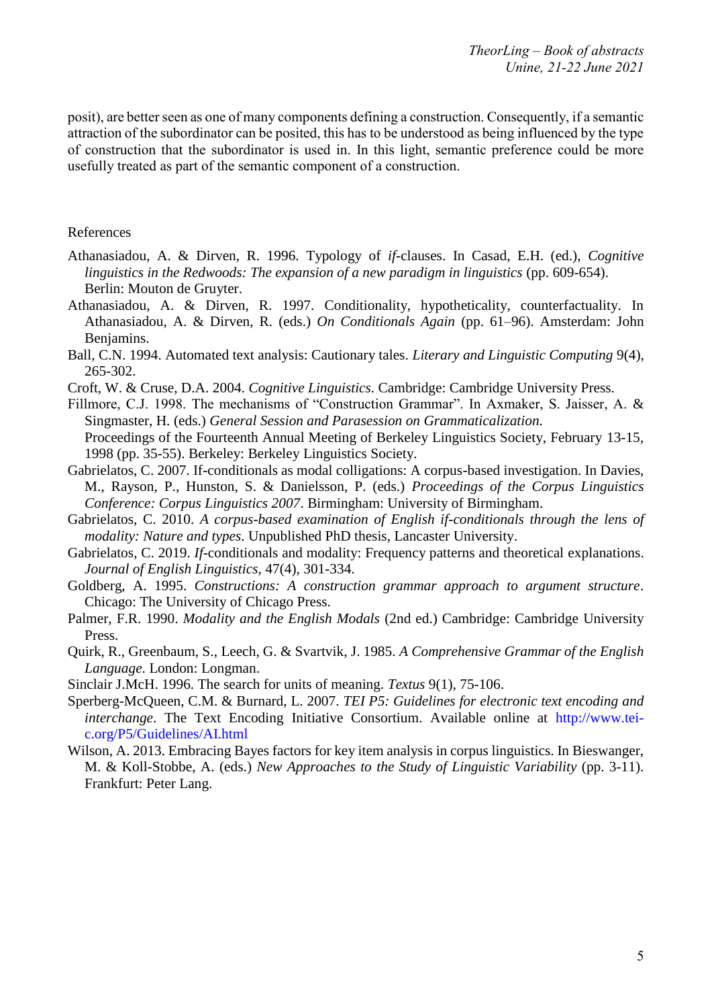posit), are better seen as one of many components defining a construction. Consequently, if a semantic attraction of the subordinator can be posited, this has to be understood as being influenced by the type of construction that the subordinator is used in. In this light, semantic preference could be more usefully treated as part of the semantic component of a construction.

#### References

- Athanasiadou, A. & Dirven, R. 1996. Typology of *if-*clauses. In Casad, E.H. (ed.), *Cognitive* linguistics in the Redwoods: The expansion of a new paradigm in linguistics (pp. 609-654). Berlin: Mouton de Gruyter.
- Athanasiadou, A. & Dirven, R. 1997. Conditionality, hypotheticality, counterfactuality. In Athanasiadou, A. & Dirven, R. (eds.) *On Conditionals Again* (pp. 61–96). Amsterdam: John Benjamins.
- Ball, C.N. 1994. Automated text analysis: Cautionary tales. *Literary and Linguistic Computing* 9(4), 265-302.
- Croft, W. & Cruse, D.A. 2004. *Cognitive Linguistics*. Cambridge: Cambridge University Press.
- Fillmore, C.J. 1998. The mechanisms of "Construction Grammar". In Axmaker, S. Jaisser, A. & Singmaster, H. (eds.) *General Session and Parasession on Grammaticalization.* Proceedings of the Fourteenth Annual Meeting of Berkeley Linguistics Society, February 13-15,
- 1998 (pp. 35-55). Berkeley: Berkeley Linguistics Society. Gabrielatos, C. 2007. If-conditionals as modal colligations: A corpus-based investigation. In Davies, M., Rayson, P., Hunston, S. & Danielsson, P. (eds.) *Proceedings of the Corpus Linguistics Conference: Corpus Linguistics 2007*. Birmingham: University of Birmingham.
- Gabrielatos, C. 2010. *A corpus-based examination of English if-conditionals through the lens of modality: Nature and types*. Unpublished PhD thesis, Lancaster University.
- Gabrielatos, C. 2019. *If*-conditionals and modality: Frequency patterns and theoretical explanations. *Journal of English Linguistics*, 47(4), 301-334.
- Goldberg, A. 1995. *Constructions: A construction grammar approach to argument structure*. Chicago: The University of Chicago Press.
- Palmer, F.R. 1990. *Modality and the English Modals* (2nd ed.) Cambridge: Cambridge University Press.
- Quirk, R., Greenbaum, S., Leech, G. & Svartvik, J. 1985. *A Comprehensive Grammar of the English Language*. London: Longman.
- Sinclair J.McH. 1996. The search for units of meaning. *Textus* 9(1), 75-106.
- Sperberg-McQueen, C.M. & Burnard, L. 2007. *TEI P5: Guidelines for electronic text encoding and interchange*. The Text Encoding Initiative Consortium. Available online at http://www.teic.org/P5/Guidelines/AI.html
- Wilson, A. 2013. Embracing Bayes factors for key item analysis in corpus linguistics. In Bieswanger, M. & Koll-Stobbe, A. (eds.) *New Approaches to the Study of Linguistic Variability* (pp. 3-11). Frankfurt: Peter Lang.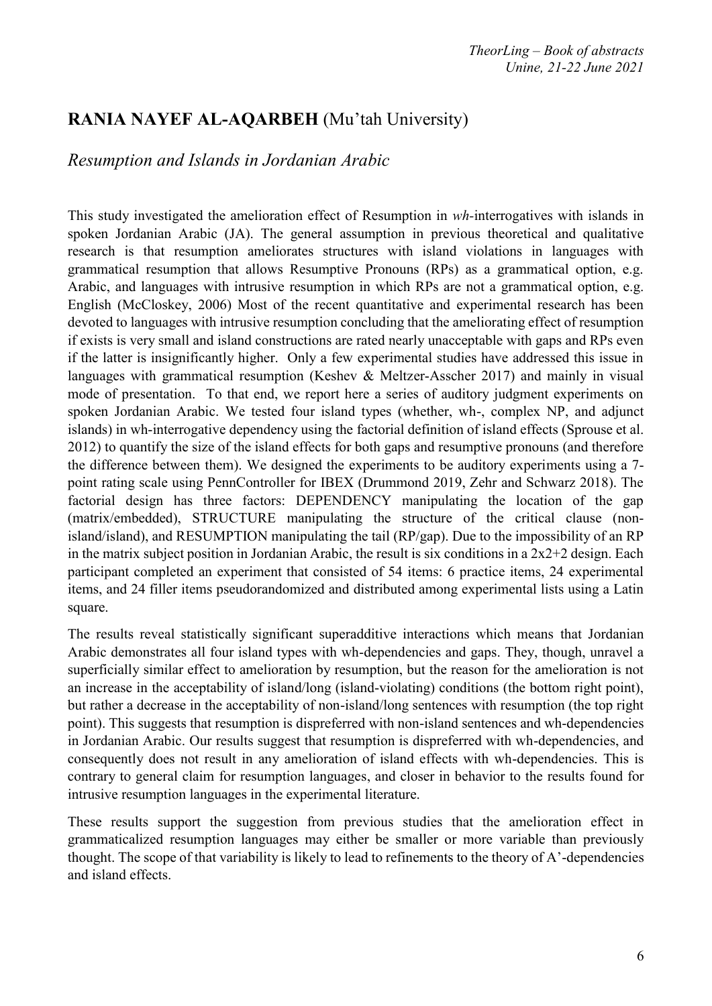### **RANIA NAYEF AL-AQARBEH** (Mu'tah University)

#### *Resumption and Islands in Jordanian Arabic*

This study investigated the amelioration effect of Resumption in *wh-*interrogatives with islands in spoken Jordanian Arabic (JA). The general assumption in previous theoretical and qualitative research is that resumption ameliorates structures with island violations in languages with grammatical resumption that allows Resumptive Pronouns (RPs) as a grammatical option, e.g. Arabic, and languages with intrusive resumption in which RPs are not a grammatical option, e.g. English (McCloskey, 2006) Most of the recent quantitative and experimental research has been devoted to languages with intrusive resumption concluding that the ameliorating effect of resumption if exists is very small and island constructions are rated nearly unacceptable with gaps and RPs even if the latter is insignificantly higher. Only a few experimental studies have addressed this issue in languages with grammatical resumption (Keshev & Meltzer-Asscher 2017) and mainly in visual mode of presentation. To that end, we report here a series of auditory judgment experiments on spoken Jordanian Arabic. We tested four island types (whether, wh-, complex NP, and adjunct islands) in wh-interrogative dependency using the factorial definition of island effects (Sprouse et al. 2012) to quantify the size of the island effects for both gaps and resumptive pronouns (and therefore the difference between them). We designed the experiments to be auditory experiments using a 7 point rating scale using PennController for IBEX (Drummond 2019, Zehr and Schwarz 2018). The factorial design has three factors: DEPENDENCY manipulating the location of the gap (matrix/embedded), STRUCTURE manipulating the structure of the critical clause (nonisland/island), and RESUMPTION manipulating the tail (RP/gap). Due to the impossibility of an RP in the matrix subject position in Jordanian Arabic, the result is six conditions in a  $2x2+2$  design. Each participant completed an experiment that consisted of 54 items: 6 practice items, 24 experimental items, and 24 filler items pseudorandomized and distributed among experimental lists using a Latin square.

The results reveal statistically significant superadditive interactions which means that Jordanian Arabic demonstrates all four island types with wh-dependencies and gaps. They, though, unravel a superficially similar effect to amelioration by resumption, but the reason for the amelioration is not an increase in the acceptability of island/long (island-violating) conditions (the bottom right point), but rather a decrease in the acceptability of non-island/long sentences with resumption (the top right point). This suggests that resumption is dispreferred with non-island sentences and wh-dependencies in Jordanian Arabic. Our results suggest that resumption is dispreferred with wh-dependencies, and consequently does not result in any amelioration of island effects with wh-dependencies. This is contrary to general claim for resumption languages, and closer in behavior to the results found for intrusive resumption languages in the experimental literature.

These results support the suggestion from previous studies that the amelioration effect in grammaticalized resumption languages may either be smaller or more variable than previously thought. The scope of that variability is likely to lead to refinements to the theory of A'-dependencies and island effects.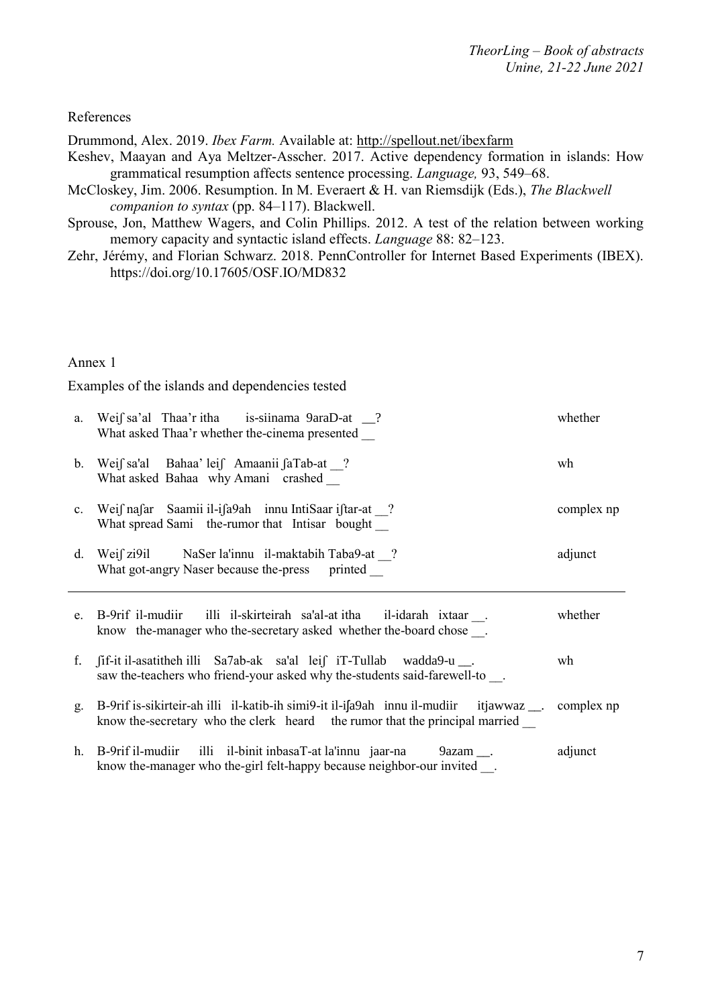References

Drummond, Alex. 2019. *Ibex Farm.* Available at: <http://spellout.net/ibexfarm>

- Keshev, Maayan and Aya Meltzer-Asscher. 2017. Active dependency formation in islands: How grammatical resumption affects sentence processing. *Language,* 93, 549–68.
- McCloskey, Jim. 2006. Resumption. In M. Everaert & H. van Riemsdijk (Eds.), *The Blackwell companion to syntax* (pp. 84–117). Blackwell.
- Sprouse, Jon, Matthew Wagers, and Colin Phillips. 2012. A test of the relation between working memory capacity and syntactic island effects. *Language* 88: 82–123.
- Zehr, Jérémy, and Florian Schwarz. 2018. PennController for Internet Based Experiments (IBEX). https://doi.org/10.17605/OSF.IO/MD832

Annex 1

Examples of the islands and dependencies tested

|    | a. Weif sa'al Thaa'r itha is-siinama $9$ araD-at $\frac{1}{2}$ ?<br>What asked Thaa'r whether the-cinema presented                                                                    | whether    |
|----|---------------------------------------------------------------------------------------------------------------------------------------------------------------------------------------|------------|
|    | b. Weif sa'al Bahaa' leif Amaanii faTab-at ?<br>What asked Bahaa why Amani crashed                                                                                                    | wh         |
|    | c. Weif nafar Saamii il-ifa9ah innu IntiSaar iftar-at ?<br>What spread Sami the-rumor that Intisar bought                                                                             | complex np |
|    | d. Weif zi9il NaSer la'innu il-maktabih Taba9-at ?<br>What got-angry Naser because the-press printed                                                                                  | adjunct    |
|    | e. B-9rif il-mudiir illi il-skirteirah sa'al-at itha il-idarah ixtaar.<br>know the-manager who the-secretary asked whether the-board chose.                                           | whether    |
|    | f. fif-it il-asatitheh illi Sa7ab-ak sa'al leif iT-Tullab wadda9-u __.<br>saw the-teachers who friend-your asked why the-students said-farewell-to.                                   | wh         |
| g. | B-9rif is-sikirteir-ah illi il-katib-ih simi9-it il-i[a9ah innu il-mudiir itjawwaz $\ldots$ complex np<br>know the-secretary who the clerk heard the rumor that the principal married |            |
|    | h. B-9rif il-mudiir illi il-binit inbasaT-at la'innu jaar-na 9azam __.<br>know the-manager who the-girl felt-happy because neighbor-our invited __.                                   | adjunct    |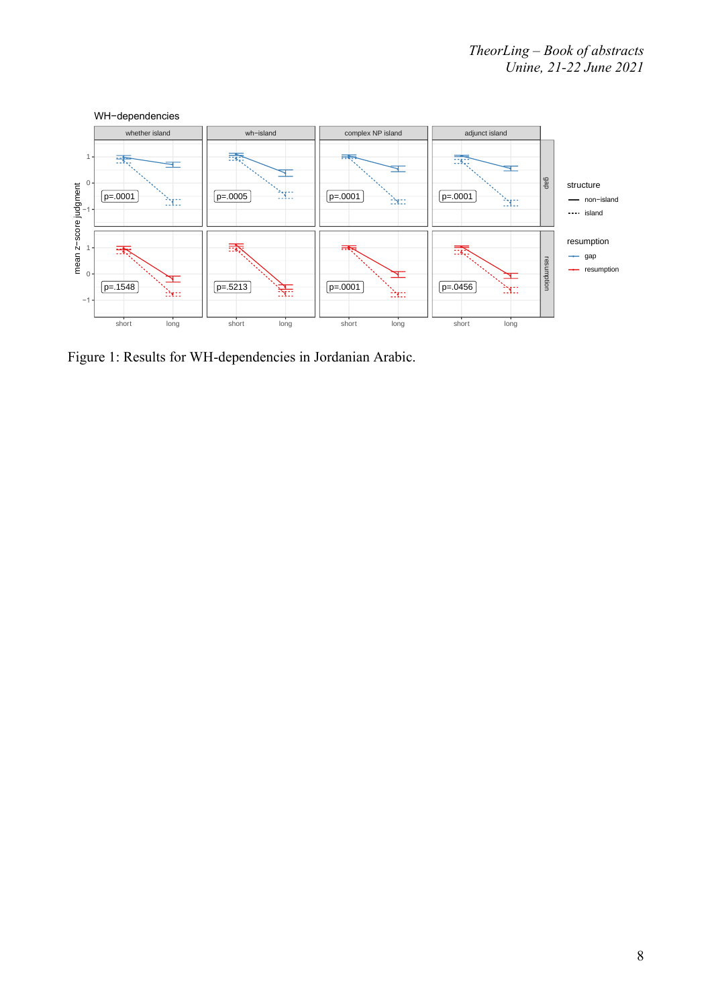

Figure 1: Results for WH-dependencies in Jordanian Arabic.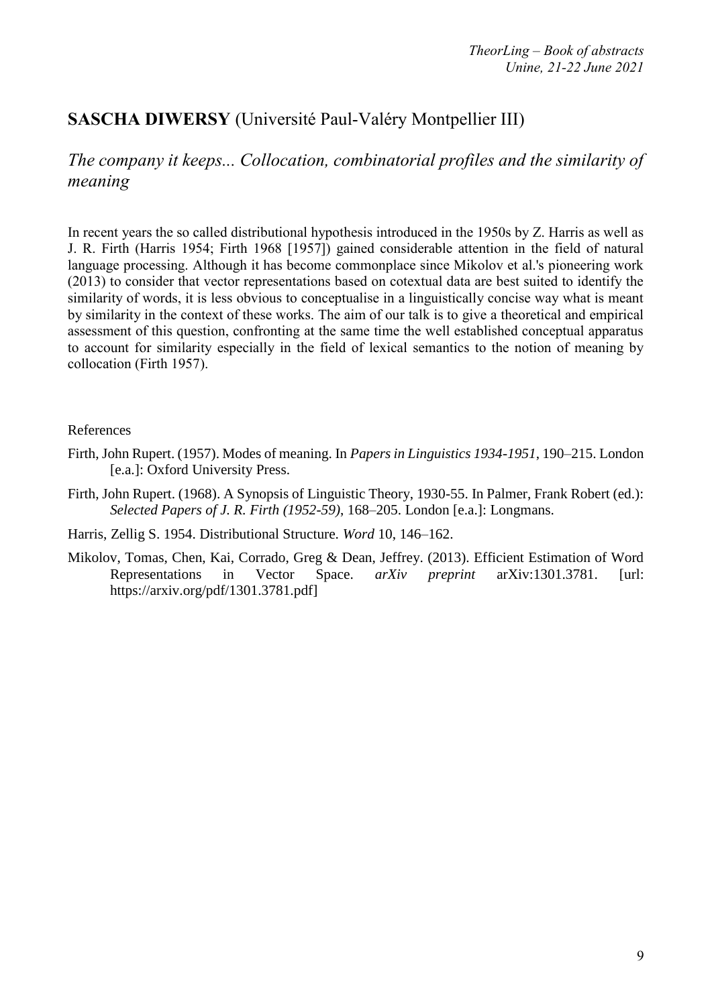# **SASCHA DIWERSY** (Université Paul-Valéry Montpellier III)

*The company it keeps... Collocation, combinatorial profiles and the similarity of meaning*

In recent years the so called distributional hypothesis introduced in the 1950s by Z. Harris as well as J. R. Firth (Harris 1954; Firth 1968 [1957]) gained considerable attention in the field of natural language processing. Although it has become commonplace since Mikolov et al.'s pioneering work (2013) to consider that vector representations based on cotextual data are best suited to identify the similarity of words, it is less obvious to conceptualise in a linguistically concise way what is meant by similarity in the context of these works. The aim of our talk is to give a theoretical and empirical assessment of this question, confronting at the same time the well established conceptual apparatus to account for similarity especially in the field of lexical semantics to the notion of meaning by collocation (Firth 1957).

#### References

- Firth, John Rupert. (1957). Modes of meaning. In *Papers in Linguistics 1934-1951*, 190–215. London [e.a.]: Oxford University Press.
- Firth, John Rupert. (1968). A Synopsis of Linguistic Theory, 1930-55. In Palmer, Frank Robert (ed.): *Selected Papers of J. R. Firth (1952-59)*, 168–205. London [e.a.]: Longmans.
- Harris, Zellig S. 1954. Distributional Structure. *Word* 10, 146–162.
- Mikolov, Tomas, Chen, Kai, Corrado, Greg & Dean, Jeffrey. (2013). Efficient Estimation of Word Representations in Vector Space. *arXiv preprint* arXiv:1301.3781. [url: https://arxiv.org/pdf/1301.3781.pdf]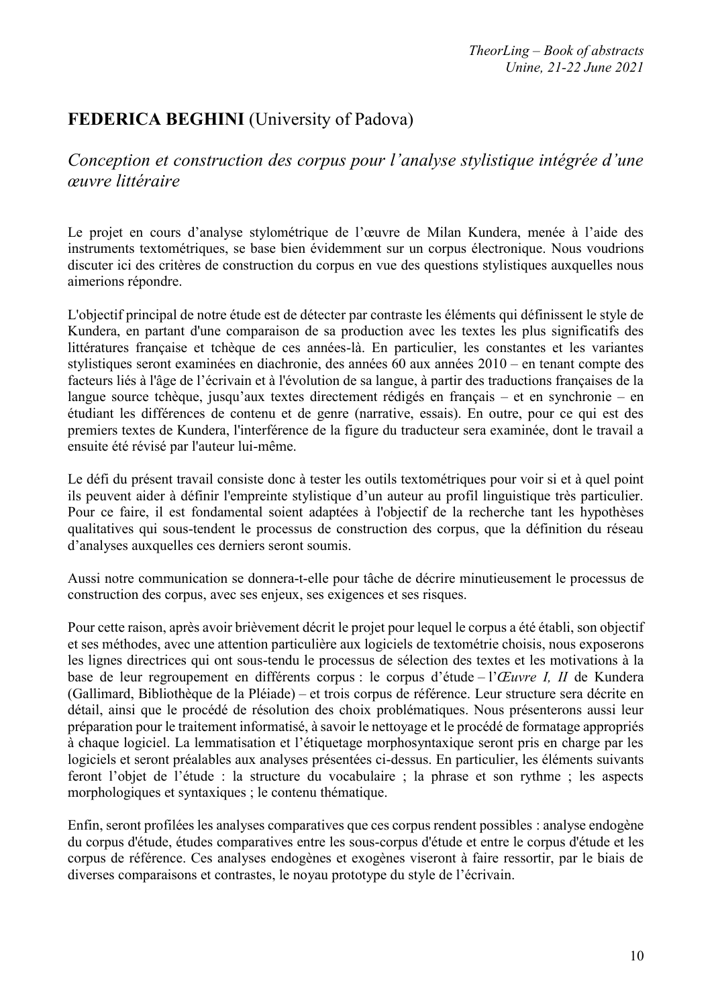# **FEDERICA BEGHINI** (University of Padova)

#### *Conception et construction des corpus pour l'analyse stylistique intégrée d'une œuvre littéraire*

Le projet en cours d'analyse stylométrique de l'œuvre de Milan Kundera, menée à l'aide des instruments textométriques, se base bien évidemment sur un corpus électronique. Nous voudrions discuter ici des critères de construction du corpus en vue des questions stylistiques auxquelles nous aimerions répondre.

L'objectif principal de notre étude est de détecter par contraste les éléments qui définissent le style de Kundera, en partant d'une comparaison de sa production avec les textes les plus significatifs des littératures française et tchèque de ces années-là. En particulier, les constantes et les variantes stylistiques seront examinées en diachronie, des années 60 aux années 2010 – en tenant compte des facteurs liés à l'âge de l'écrivain et à l'évolution de sa langue, à partir des traductions françaises de la langue source tchèque, jusqu'aux textes directement rédigés en français – et en synchronie – en étudiant les différences de contenu et de genre (narrative, essais). En outre, pour ce qui est des premiers textes de Kundera, l'interférence de la figure du traducteur sera examinée, dont le travail a ensuite été révisé par l'auteur lui-même.

Le défi du présent travail consiste donc à tester les outils textométriques pour voir si et à quel point ils peuvent aider à définir l'empreinte stylistique d'un auteur au profil linguistique très particulier. Pour ce faire, il est fondamental soient adaptées à l'objectif de la recherche tant les hypothèses qualitatives qui sous-tendent le processus de construction des corpus, que la définition du réseau d'analyses auxquelles ces derniers seront soumis.

Aussi notre communication se donnera-t-elle pour tâche de décrire minutieusement le processus de construction des corpus, avec ses enjeux, ses exigences et ses risques.

Pour cette raison, après avoir brièvement décrit le projet pour lequel le corpus a été établi, son objectif et ses méthodes, avec une attention particulière aux logiciels de textométrie choisis, nous exposerons les lignes directrices qui ont sous-tendu le processus de sélection des textes et les motivations à la base de leur regroupement en différents corpus : le corpus d'étude – l'*Œuvre I, II* de Kundera (Gallimard, Bibliothèque de la Pléiade) – et trois corpus de référence. Leur structure sera décrite en détail, ainsi que le procédé de résolution des choix problématiques. Nous présenterons aussi leur préparation pour le traitement informatisé, à savoir le nettoyage et le procédé de formatage appropriés à chaque logiciel. La lemmatisation et l'étiquetage morphosyntaxique seront pris en charge par les logiciels et seront préalables aux analyses présentées ci-dessus. En particulier, les éléments suivants feront l'objet de l'étude : la structure du vocabulaire ; la phrase et son rythme ; les aspects morphologiques et syntaxiques ; le contenu thématique.

Enfin, seront profilées les analyses comparatives que ces corpus rendent possibles : analyse endogène du corpus d'étude, études comparatives entre les sous-corpus d'étude et entre le corpus d'étude et les corpus de référence. Ces analyses endogènes et exogènes viseront à faire ressortir, par le biais de diverses comparaisons et contrastes, le noyau prototype du style de l'écrivain.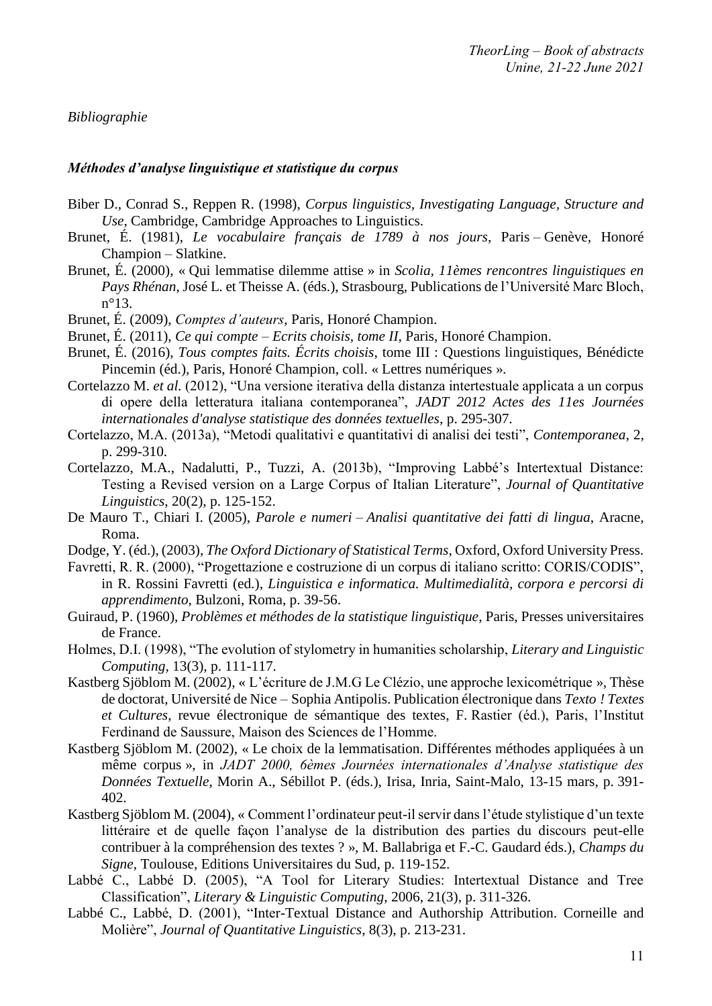#### *Bibliographie*

#### *Méthodes d'analyse linguistique et statistique du corpus*

- Biber D., Conrad S., Reppen R. (1998), *Corpus linguistics, Investigating Language, Structure and Use*, Cambridge, Cambridge Approaches to Linguistics.
- Brunet, É. (1981), *Le vocabulaire français de 1789 à nos jours*, Paris Genève, Honoré Champion – Slatkine.
- Brunet, É. (2000), « Qui lemmatise dilemme attise » in *Scolia, 11èmes rencontres linguistiques en Pays Rhénan*, José L. et Theisse A. (éds.), Strasbourg, Publications de l'Université Marc Bloch, n°13.
- Brunet, É. (2009), *Comptes d'auteurs*, Paris, Honoré Champion.
- Brunet, É. (2011), *Ce qui compte – Ecrits choisis, tome II*, Paris, Honoré Champion.
- Brunet, É. (2016), *Tous comptes faits. Écrits choisis*, tome III : Questions linguistiques, Bénédicte Pincemin (éd.), Paris, Honoré Champion, coll. « Lettres numériques ».
- Cortelazzo M. *et al.* (2012), "Una versione iterativa della distanza intertestuale applicata a un corpus di opere della letteratura italiana contemporanea", *JADT 2012 Actes des 11es Journées internationales d'analyse statistique des données textuelles*, p. 295-307.
- Cortelazzo, M.A. (2013a), "Metodi qualitativi e quantitativi di analisi dei testi", *Contemporanea*, 2, p. 299-310.
- Cortelazzo, M.A., Nadalutti, P., Tuzzi, A. (2013b), "Improving Labbé's Intertextual Distance: Testing a Revised version on a Large Corpus of Italian Literature", *Journal of Quantitative Linguistics*, 20(2), p. 125-152.
- De Mauro T., Chiari I. (2005), *Parole e numeri – Analisi quantitative dei fatti di lingua*, Aracne, Roma.
- Dodge, Y. (éd.), (2003), *The Oxford Dictionary of Statistical Terms*, Oxford, Oxford University Press.
- Favretti, R. R. (2000), "Progettazione e costruzione di un corpus di italiano scritto: CORIS/CODIS", in R. Rossini Favretti (ed.), *Linguistica e informatica. Multimedialità, corpora e percorsi di apprendimento,* Bulzoni, Roma, p. 39-56.
- Guiraud, P. (1960), *Problèmes et méthodes de la statistique linguistique*, Paris, Presses universitaires de France.
- Holmes, D.I. (1998), "The evolution of stylometry in humanities scholarship, *Literary and Linguistic Computing*, 13(3), p. 111-117.
- Kastberg Sjöblom M. (2002), « L'écriture de J.M.G Le Clézio, une approche lexicométrique », Thèse de doctorat, Université de Nice – Sophia Antipolis. Publication électronique dans *Texto ! Textes et Cultures*, revue électronique de sémantique des textes, F. Rastier (éd.), Paris, l'Institut Ferdinand de Saussure, Maison des Sciences de l'Homme.
- Kastberg Sjöblom M. (2002), « Le choix de la lemmatisation. Différentes méthodes appliquées à un même corpus », in *JADT 2000, 6èmes Journées internationales d'Analyse statistique des Données Textuelle*, Morin A., Sébillot P. (éds.), Irisa, Inria, Saint-Malo, 13-15 mars, p. 391- 402.
- Kastberg Sjöblom M. (2004), « Comment l'ordinateur peut-il servir dans l'étude stylistique d'un texte littéraire et de quelle façon l'analyse de la distribution des parties du discours peut-elle contribuer à la compréhension des textes ? », M. Ballabriga et F.-C. Gaudard éds.), *Champs du Signe*, Toulouse, Editions Universitaires du Sud, p. 119-152.
- Labbé C., Labbé D. (2005), "A Tool for Literary Studies: Intertextual Distance and Tree Classification", *Literary & Linguistic Computing*, 2006, 21(3), p. 311-326.
- Labbé C., Labbé, D. (2001), "Inter-Textual Distance and Authorship Attribution. Corneille and Molière", *Journal of Quantitative Linguistics*, 8(3), p. 213-231.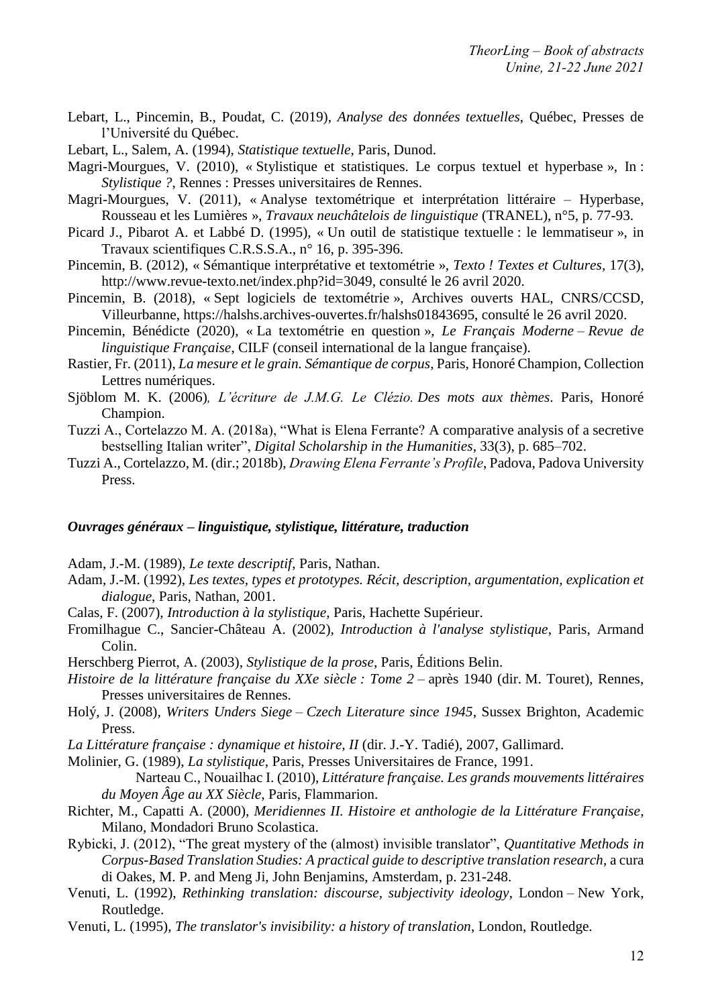- Lebart, L., Pincemin, B., Poudat, C. (2019), *Analyse des données textuelles*, Québec, Presses de l'Université du Québec.
- Lebart, L., Salem, A. (1994), *Statistique textuelle*, Paris, Dunod.
- Magri-Mourgues, V. (2010), « Stylistique et statistiques. Le corpus textuel et hyperbase », In : *Stylistique ?*, Rennes : Presses universitaires de Rennes.
- Magri-Mourgues, V. (2011), « Analyse textométrique et interprétation littéraire Hyperbase, Rousseau et les Lumières », *Travaux neuchâtelois de linguistique* (TRANEL), n°5, p. 77-93.
- Picard J., Pibarot A. et Labbé D. (1995), « Un outil de statistique textuelle : le lemmatiseur », in Travaux scientifiques C.R.S.S.A., n° 16, p. 395-396.
- Pincemin, B. (2012), « Sémantique interprétative et textométrie », *Texto ! Textes et Cultures*, 17(3), http://www.revue-texto.net/index.php?id=3049, consulté le 26 avril 2020.
- Pincemin, B. (2018), « Sept logiciels de textométrie », Archives ouverts HAL, CNRS/CCSD, Villeurbanne, https://halshs.archives-ouvertes.fr/halshs01843695, consulté le 26 avril 2020.
- Pincemin, Bénédicte (2020), « La textométrie en question », *Le Français Moderne – Revue de linguistique Française*, CILF (conseil international de la langue française).
- Rastier, Fr. (2011), *La mesure et le grain. Sémantique de corpus*, Paris, Honoré Champion, Collection Lettres numériques.
- Sjöblom M. K. (2006)*, L'écriture de J.M.G. Le Clézio. Des mots aux thèmes*. Paris, Honoré Champion.
- Tuzzi A., Cortelazzo M. A. (2018a), "What is Elena Ferrante? A comparative analysis of a secretive bestselling Italian writer", *Digital Scholarship in the Humanities*, 33(3), p. 685–702.
- Tuzzi A., Cortelazzo, M. (dir.; 2018b), *Drawing Elena Ferrante's Profile*, Padova, Padova University Press.

#### *Ouvrages généraux – linguistique, stylistique, littérature, traduction*

Adam, J.-M. (1989), *Le texte descriptif*, Paris, Nathan.

- Adam, J.-M. (1992), *Les textes, types et prototypes. Récit, description, argumentation, explication et dialogue*, Paris, Nathan, 2001.
- Calas, F. (2007), *Introduction à la stylistique*, Paris, Hachette Supérieur.
- Fromilhague C., Sancier-Château A. (2002), *Introduction à l'analyse stylistique*, Paris, Armand Colin.
- Herschberg Pierrot, A. (2003), *Stylistique de la prose*, Paris, Éditions Belin.
- *Histoire de la littérature française du XXe siècle : Tome 2* après 1940 (dir. M. Touret), Rennes, Presses universitaires de Rennes.
- Holý, J. (2008), *Writers Unders Siege – Czech Literature since 1945*, Sussex Brighton, Academic Press.
- *La Littérature française : dynamique et histoire, II* (dir. J.-Y. Tadié), 2007, Gallimard.
- Molinier, G. (1989), *La stylistique*, Paris, Presses Universitaires de France, 1991.

Narteau C., Nouailhac I. (2010), *Littérature française. Les grands mouvements littéraires du Moyen Âge au XX Siècle*, Paris, Flammarion.

- Richter, M., Capatti A. (2000), *Meridiennes II. Histoire et anthologie de la Littérature Française*, Milano, Mondadori Bruno Scolastica.
- Rybicki, J. (2012), "The great mystery of the (almost) invisible translator", *Quantitative Methods in Corpus-Based Translation Studies: A practical guide to descriptive translation research*, a cura di Oakes, M. P. and Meng Ji, John Benjamins, Amsterdam, p. 231-248.
- Venuti, L. (1992), *Rethinking translation: discourse, subjectivity ideology*, London New York, Routledge.
- Venuti, L. (1995), *The translator's invisibility: a history of translation*, London, Routledge.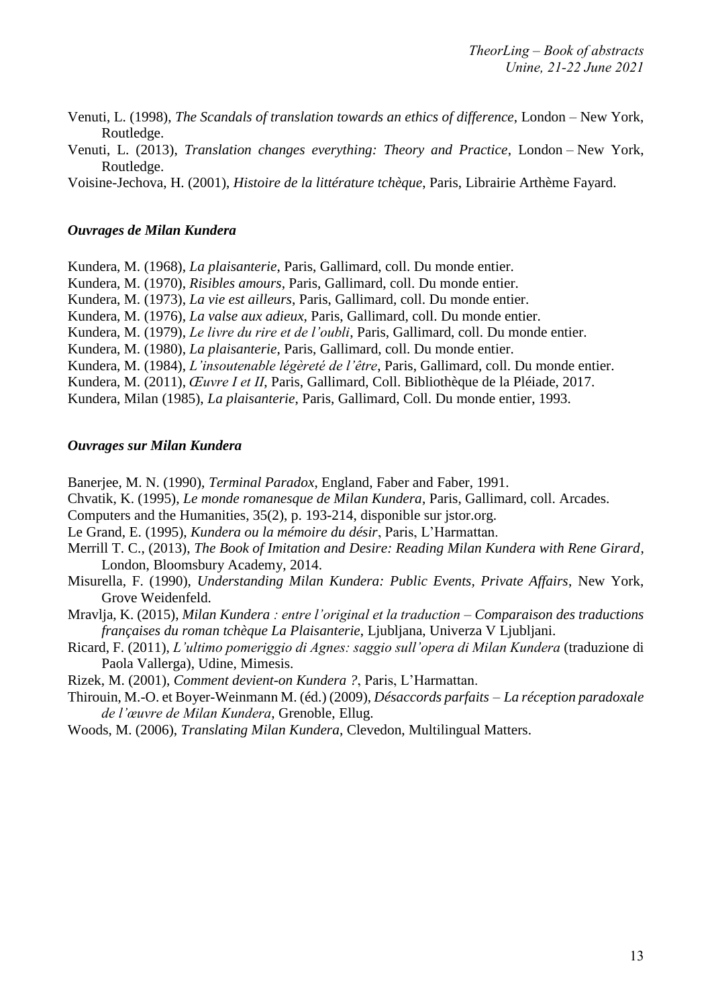- Venuti, L. (1998), *The Scandals of translation towards an ethics of difference*, London New York, Routledge.
- Venuti, L. (2013), *Translation changes everything: Theory and Practice*, London New York, Routledge.
- Voisine-Jechova, H. (2001), *Histoire de la littérature tchèque*, Paris, Librairie Arthème Fayard.

#### *Ouvrages de Milan Kundera*

Kundera, M. (1968), *La plaisanterie*, Paris, Gallimard, coll. Du monde entier.

Kundera, M. (1970), *Risibles amours*, Paris, Gallimard, coll. Du monde entier.

Kundera, M. (1973), *La vie est ailleurs*, Paris, Gallimard, coll. Du monde entier.

Kundera, M. (1976), *La valse aux adieux*, Paris, Gallimard, coll. Du monde entier.

Kundera, M. (1979), *Le livre du rire et de l'oubli*, Paris, Gallimard, coll. Du monde entier.

Kundera, M. (1980), *La plaisanterie*, Paris, Gallimard, coll. Du monde entier.

Kundera, M. (1984), *L'insoutenable légèreté de l'être*, Paris, Gallimard, coll. Du monde entier.

Kundera, M. (2011), *Œuvre I et II*, Paris, Gallimard, Coll. Bibliothèque de la Pléiade, 2017.

Kundera, Milan (1985), *La plaisanterie*, Paris, Gallimard, Coll. Du monde entier, 1993.

#### *Ouvrages sur Milan Kundera*

Banerjee, M. N. (1990), *Terminal Paradox*, England, Faber and Faber, 1991.

Chvatik, K. (1995), *Le monde romanesque de Milan Kundera*, Paris, Gallimard, coll. Arcades.

Computers and the Humanities, 35(2), p. 193-214, disponible sur jstor.org.

Le Grand, E. (1995), *Kundera ou la mémoire du désir*, Paris, L'Harmattan.

Merrill T. C., (2013), *The Book of Imitation and Desire: Reading Milan Kundera with Rene Girard*, London, Bloomsbury Academy, 2014.

Misurella, F. (1990), *Understanding Milan Kundera: Public Events, Private Affairs*, New York, Grove Weidenfeld.

Mravlja, K. (2015), *Milan Kundera : entre l'original et la traduction – Comparaison des traductions françaises du roman tchèque La Plaisanterie*, Ljubljana, Univerza V Ljubljani.

Ricard, F. (2011), *L'ultimo pomeriggio di Agnes: saggio sull'opera di Milan Kundera* (traduzione di Paola Vallerga), Udine, Mimesis.

Rizek, M. (2001), *Comment devient-on Kundera ?*, Paris, L'Harmattan.

Thirouin, M.-O. et Boyer-Weinmann M. (éd.) (2009), *Désaccords parfaits – La réception paradoxale de l'œuvre de Milan Kundera*, Grenoble, Ellug.

Woods, M. (2006), *Translating Milan Kundera*, Clevedon, Multilingual Matters.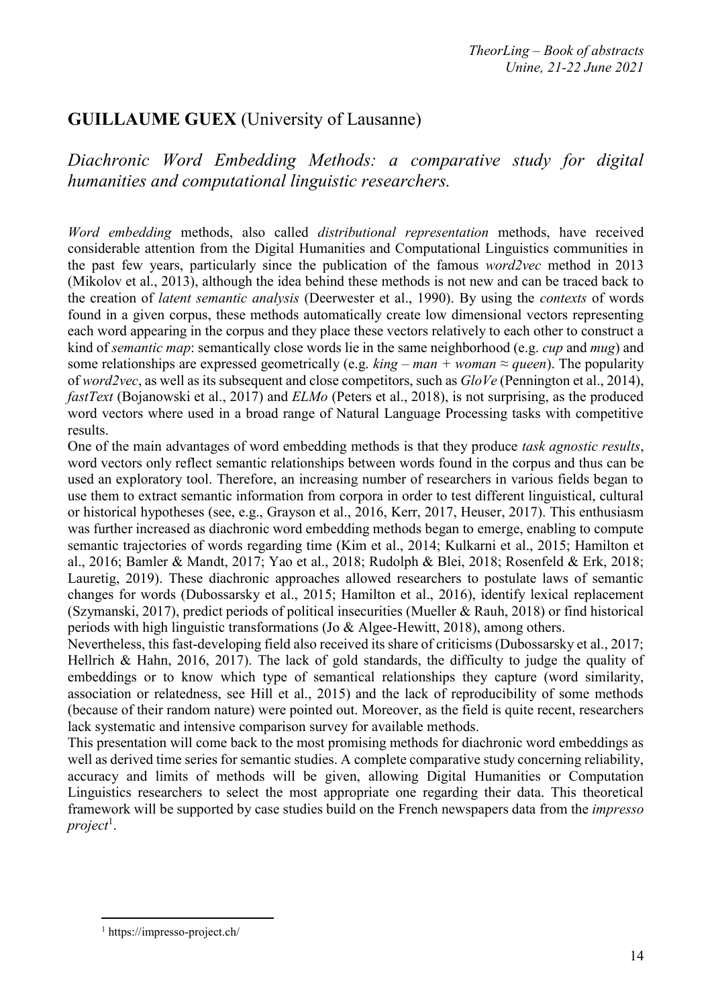## **GUILLAUME GUEX** (University of Lausanne)

*Diachronic Word Embedding Methods: a comparative study for digital humanities and computational linguistic researchers.*

*Word embedding* methods, also called *distributional representation* methods, have received considerable attention from the Digital Humanities and Computational Linguistics communities in the past few years, particularly since the publication of the famous *word2vec* method in 2013 (Mikolov et al., 2013), although the idea behind these methods is not new and can be traced back to the creation of *latent semantic analysis* (Deerwester et al., 1990). By using the *contexts* of words found in a given corpus, these methods automatically create low dimensional vectors representing each word appearing in the corpus and they place these vectors relatively to each other to construct a kind of *semantic map*: semantically close words lie in the same neighborhood (e.g. *cup* and *mug*) and some relationships are expressed geometrically (e.g.  $king - man + woman \approx queen$ ). The popularity of *word2vec*, as well as its subsequent and close competitors, such as *GloVe* (Pennington et al., 2014), *fastText* (Bojanowski et al., 2017) and *ELMo* (Peters et al., 2018), is not surprising, as the produced word vectors where used in a broad range of Natural Language Processing tasks with competitive results.

One of the main advantages of word embedding methods is that they produce *task agnostic results*, word vectors only reflect semantic relationships between words found in the corpus and thus can be used an exploratory tool. Therefore, an increasing number of researchers in various fields began to use them to extract semantic information from corpora in order to test different linguistical, cultural or historical hypotheses (see, e.g., Grayson et al., 2016, Kerr, 2017, Heuser, 2017). This enthusiasm was further increased as diachronic word embedding methods began to emerge, enabling to compute semantic trajectories of words regarding time (Kim et al., 2014; Kulkarni et al., 2015; Hamilton et al., 2016; Bamler & Mandt, 2017; Yao et al., 2018; Rudolph & Blei, 2018; Rosenfeld & Erk, 2018; Lauretig, 2019). These diachronic approaches allowed researchers to postulate laws of semantic changes for words (Dubossarsky et al., 2015; Hamilton et al., 2016), identify lexical replacement (Szymanski, 2017), predict periods of political insecurities (Mueller & Rauh, 2018) or find historical periods with high linguistic transformations (Jo & Algee-Hewitt, 2018), among others.

Nevertheless, this fast-developing field also received its share of criticisms (Dubossarsky et al., 2017; Hellrich & Hahn, 2016, 2017). The lack of gold standards, the difficulty to judge the quality of embeddings or to know which type of semantical relationships they capture (word similarity, association or relatedness, see Hill et al., 2015) and the lack of reproducibility of some methods (because of their random nature) were pointed out. Moreover, as the field is quite recent, researchers lack systematic and intensive comparison survey for available methods.

This presentation will come back to the most promising methods for diachronic word embeddings as well as derived time series for semantic studies. A complete comparative study concerning reliability, accuracy and limits of methods will be given, allowing Digital Humanities or Computation Linguistics researchers to select the most appropriate one regarding their data. This theoretical framework will be supported by case studies build on the French newspapers data from the *impresso project*<sup>1</sup> .

 $\overline{a}$ 

<sup>1</sup> https://impresso-project.ch/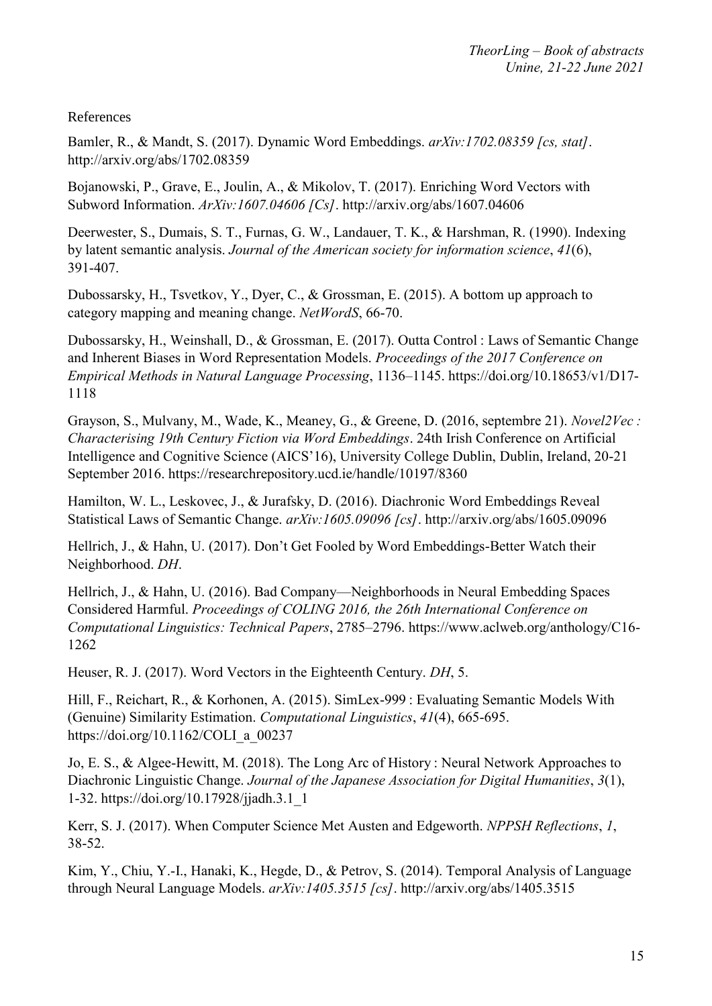References

Bamler, R., & Mandt, S. (2017). Dynamic Word Embeddings. *arXiv:1702.08359 [cs, stat]*. http://arxiv.org/abs/1702.08359

Bojanowski, P., Grave, E., Joulin, A., & Mikolov, T. (2017). Enriching Word Vectors with Subword Information. *ArXiv:1607.04606 [Cs]*. http://arxiv.org/abs/1607.04606

Deerwester, S., Dumais, S. T., Furnas, G. W., Landauer, T. K., & Harshman, R. (1990). Indexing by latent semantic analysis. *Journal of the American society for information science*, *41*(6), 391‑407.

Dubossarsky, H., Tsvetkov, Y., Dyer, C., & Grossman, E. (2015). A bottom up approach to category mapping and meaning change. *NetWordS*, 66‑70.

Dubossarsky, H., Weinshall, D., & Grossman, E. (2017). Outta Control : Laws of Semantic Change and Inherent Biases in Word Representation Models. *Proceedings of the 2017 Conference on Empirical Methods in Natural Language Processing*, 1136–1145. https://doi.org/10.18653/v1/D17- 1118

Grayson, S., Mulvany, M., Wade, K., Meaney, G., & Greene, D. (2016, septembre 21). *Novel2Vec : Characterising 19th Century Fiction via Word Embeddings*. 24th Irish Conference on Artificial Intelligence and Cognitive Science (AICS'16), University College Dublin, Dublin, Ireland, 20-21 September 2016. https://researchrepository.ucd.ie/handle/10197/8360

Hamilton, W. L., Leskovec, J., & Jurafsky, D. (2016). Diachronic Word Embeddings Reveal Statistical Laws of Semantic Change. *arXiv:1605.09096 [cs]*. http://arxiv.org/abs/1605.09096

Hellrich, J., & Hahn, U. (2017). Don't Get Fooled by Word Embeddings-Better Watch their Neighborhood. *DH*.

Hellrich, J., & Hahn, U. (2016). Bad Company—Neighborhoods in Neural Embedding Spaces Considered Harmful. *Proceedings of COLING 2016, the 26th International Conference on Computational Linguistics: Technical Papers*, 2785–2796. https://www.aclweb.org/anthology/C16- 1262

Heuser, R. J. (2017). Word Vectors in the Eighteenth Century. *DH*, 5.

Hill, F., Reichart, R., & Korhonen, A. (2015). SimLex-999 : Evaluating Semantic Models With (Genuine) Similarity Estimation. *Computational Linguistics*, *41*(4), 665‑695. https://doi.org/10.1162/COLI\_a\_00237

Jo, E. S., & Algee-Hewitt, M. (2018). The Long Arc of History : Neural Network Approaches to Diachronic Linguistic Change. *Journal of the Japanese Association for Digital Humanities*, *3*(1), 1‑32. https://doi.org/10.17928/jjadh.3.1\_1

Kerr, S. J. (2017). When Computer Science Met Austen and Edgeworth. *NPPSH Reflections*, *1*, 38‑52.

Kim, Y., Chiu, Y.-I., Hanaki, K., Hegde, D., & Petrov, S. (2014). Temporal Analysis of Language through Neural Language Models. *arXiv:1405.3515 [cs]*. http://arxiv.org/abs/1405.3515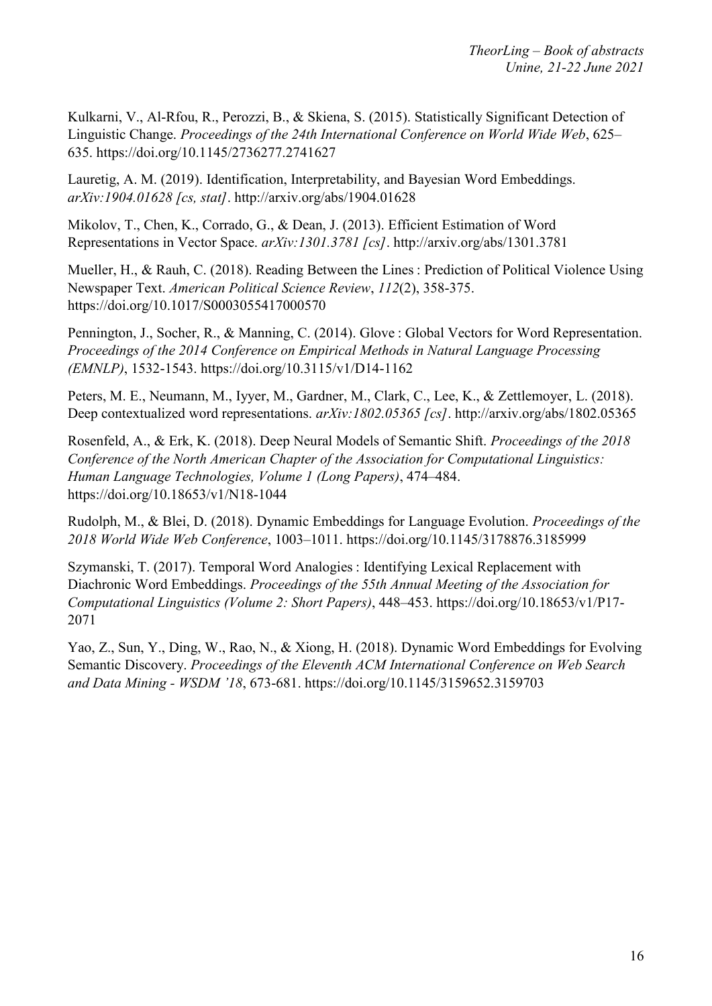Kulkarni, V., Al-Rfou, R., Perozzi, B., & Skiena, S. (2015). Statistically Significant Detection of Linguistic Change. *Proceedings of the 24th International Conference on World Wide Web*, 625– 635. https://doi.org/10.1145/2736277.2741627

Lauretig, A. M. (2019). Identification, Interpretability, and Bayesian Word Embeddings. *arXiv:1904.01628 [cs, stat]*. http://arxiv.org/abs/1904.01628

Mikolov, T., Chen, K., Corrado, G., & Dean, J. (2013). Efficient Estimation of Word Representations in Vector Space. *arXiv:1301.3781 [cs]*. http://arxiv.org/abs/1301.3781

Mueller, H., & Rauh, C. (2018). Reading Between the Lines : Prediction of Political Violence Using Newspaper Text. *American Political Science Review*, *112*(2), 358‑375. https://doi.org/10.1017/S0003055417000570

Pennington, J., Socher, R., & Manning, C. (2014). Glove : Global Vectors for Word Representation. *Proceedings of the 2014 Conference on Empirical Methods in Natural Language Processing (EMNLP)*, 1532‑1543. https://doi.org/10.3115/v1/D14-1162

Peters, M. E., Neumann, M., Iyyer, M., Gardner, M., Clark, C., Lee, K., & Zettlemoyer, L. (2018). Deep contextualized word representations. *arXiv:1802.05365 [cs]*. http://arxiv.org/abs/1802.05365

Rosenfeld, A., & Erk, K. (2018). Deep Neural Models of Semantic Shift. *Proceedings of the 2018 Conference of the North American Chapter of the Association for Computational Linguistics: Human Language Technologies, Volume 1 (Long Papers)*, 474–484. https://doi.org/10.18653/v1/N18-1044

Rudolph, M., & Blei, D. (2018). Dynamic Embeddings for Language Evolution. *Proceedings of the 2018 World Wide Web Conference*, 1003–1011. https://doi.org/10.1145/3178876.3185999

Szymanski, T. (2017). Temporal Word Analogies : Identifying Lexical Replacement with Diachronic Word Embeddings. *Proceedings of the 55th Annual Meeting of the Association for Computational Linguistics (Volume 2: Short Papers)*, 448–453. https://doi.org/10.18653/v1/P17- 2071

Yao, Z., Sun, Y., Ding, W., Rao, N., & Xiong, H. (2018). Dynamic Word Embeddings for Evolving Semantic Discovery. *Proceedings of the Eleventh ACM International Conference on Web Search and Data Mining - WSDM '18*, 673‑681. https://doi.org/10.1145/3159652.3159703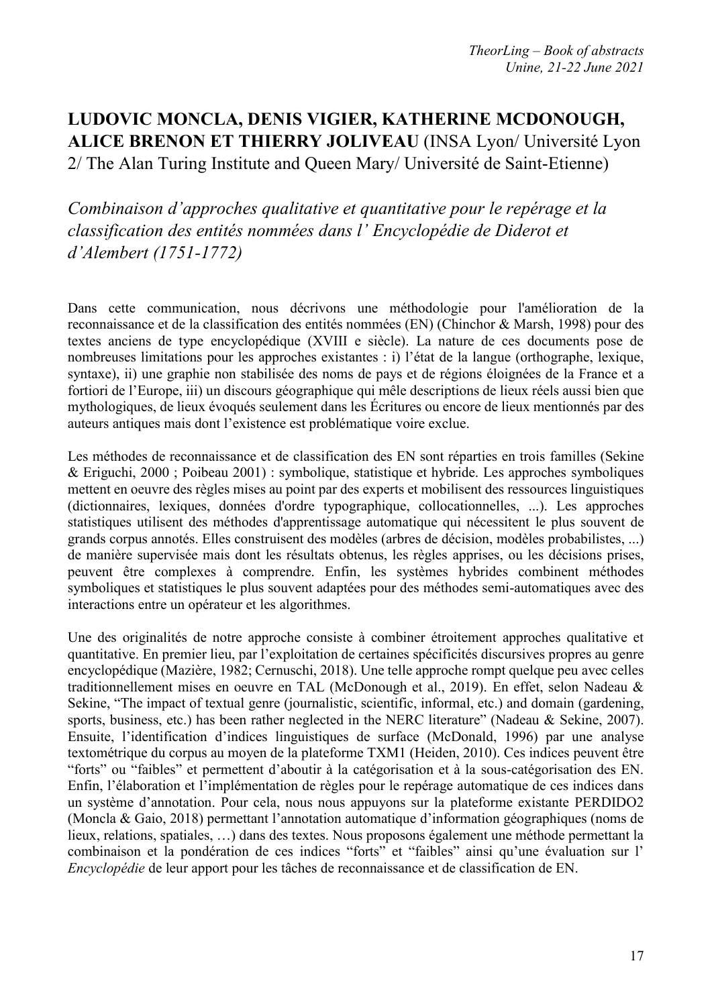## **LUDOVIC MONCLA, DENIS VIGIER, KATHERINE MCDONOUGH, ALICE BRENON ET THIERRY JOLIVEAU** (INSA Lyon/ Université Lyon 2/ The Alan Turing Institute and Queen Mary/ Université de Saint-Etienne)

*Combinaison d'approches qualitative et quantitative pour le repérage et la classification des entités nommées dans l' Encyclopédie de Diderot et d'Alembert (1751-1772)*

Dans cette communication, nous décrivons une méthodologie pour l'amélioration de la reconnaissance et de la classification des entités nommées (EN) (Chinchor & Marsh, 1998) pour des textes anciens de type encyclopédique (XVIII e siècle). La nature de ces documents pose de nombreuses limitations pour les approches existantes : i) l'état de la langue (orthographe, lexique, syntaxe), ii) une graphie non stabilisée des noms de pays et de régions éloignées de la France et a fortiori de l'Europe, iii) un discours géographique qui mêle descriptions de lieux réels aussi bien que mythologiques, de lieux évoqués seulement dans les Écritures ou encore de lieux mentionnés par des auteurs antiques mais dont l'existence est problématique voire exclue.

Les méthodes de reconnaissance et de classification des EN sont réparties en trois familles (Sekine & Eriguchi, 2000 ; Poibeau 2001) : symbolique, statistique et hybride. Les approches symboliques mettent en oeuvre des règles mises au point par des experts et mobilisent des ressources linguistiques (dictionnaires, lexiques, données d'ordre typographique, collocationnelles, ...). Les approches statistiques utilisent des méthodes d'apprentissage automatique qui nécessitent le plus souvent de grands corpus annotés. Elles construisent des modèles (arbres de décision, modèles probabilistes, ...) de manière supervisée mais dont les résultats obtenus, les règles apprises, ou les décisions prises, peuvent être complexes à comprendre. Enfin, les systèmes hybrides combinent méthodes symboliques et statistiques le plus souvent adaptées pour des méthodes semi-automatiques avec des interactions entre un opérateur et les algorithmes.

Une des originalités de notre approche consiste à combiner étroitement approches qualitative et quantitative. En premier lieu, par l'exploitation de certaines spécificités discursives propres au genre encyclopédique (Mazière, 1982; Cernuschi, 2018). Une telle approche rompt quelque peu avec celles traditionnellement mises en oeuvre en TAL (McDonough et al., 2019). En effet, selon Nadeau & Sekine, "The impact of textual genre (journalistic, scientific, informal, etc.) and domain (gardening, sports, business, etc.) has been rather neglected in the NERC literature" (Nadeau & Sekine, 2007). Ensuite, l'identification d'indices linguistiques de surface (McDonald, 1996) par une analyse textométrique du corpus au moyen de la plateforme TXM1 (Heiden, 2010). Ces indices peuvent être "forts" ou "faibles" et permettent d'aboutir à la catégorisation et à la sous-catégorisation des EN. Enfin, l'élaboration et l'implémentation de règles pour le repérage automatique de ces indices dans un système d'annotation. Pour cela, nous nous appuyons sur la plateforme existante PERDIDO2 (Moncla & Gaio, 2018) permettant l'annotation automatique d'information géographiques (noms de lieux, relations, spatiales, …) dans des textes. Nous proposons également une méthode permettant la combinaison et la pondération de ces indices "forts" et "faibles" ainsi qu'une évaluation sur l' *Encyclopédie* de leur apport pour les tâches de reconnaissance et de classification de EN.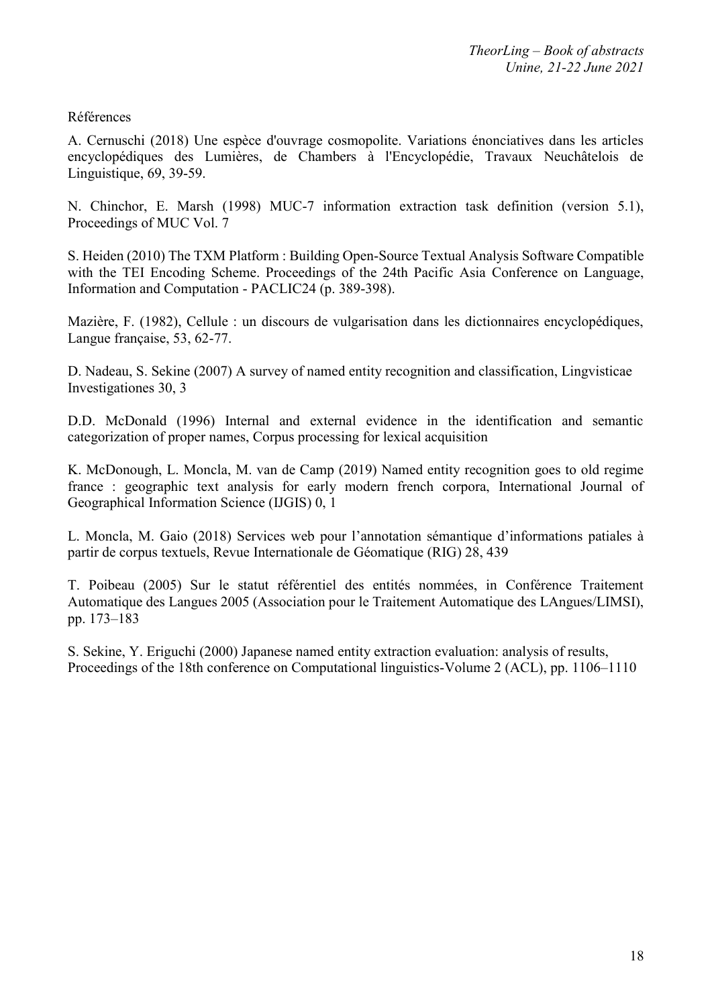#### Références

A. Cernuschi (2018) Une espèce d'ouvrage cosmopolite. Variations énonciatives dans les articles encyclopédiques des Lumières, de Chambers à l'Encyclopédie, Travaux Neuchâtelois de Linguistique, 69, 39-59.

N. Chinchor, E. Marsh (1998) MUC-7 information extraction task definition (version 5.1), Proceedings of MUC Vol. 7

S. Heiden (2010) The TXM Platform : Building Open-Source Textual Analysis Software Compatible with the TEI Encoding Scheme. Proceedings of the 24th Pacific Asia Conference on Language, Information and Computation - PACLIC24 (p. 389-398).

Mazière, F. (1982), Cellule : un discours de vulgarisation dans les dictionnaires encyclopédiques, Langue française, 53, 62-77.

D. Nadeau, S. Sekine (2007) A survey of named entity recognition and classification, Lingvisticae Investigationes 30, 3

D.D. McDonald (1996) Internal and external evidence in the identification and semantic categorization of proper names, Corpus processing for lexical acquisition

K. McDonough, L. Moncla, M. van de Camp (2019) Named entity recognition goes to old regime france : geographic text analysis for early modern french corpora, International Journal of Geographical Information Science (IJGIS) 0, 1

L. Moncla, M. Gaio (2018) Services web pour l'annotation sémantique d'informations patiales à partir de corpus textuels, Revue Internationale de Géomatique (RIG) 28, 439

T. Poibeau (2005) Sur le statut référentiel des entités nommées, in Conférence Traitement Automatique des Langues 2005 (Association pour le Traitement Automatique des LAngues/LIMSI), pp. 173–183

S. Sekine, Y. Eriguchi (2000) Japanese named entity extraction evaluation: analysis of results, Proceedings of the 18th conference on Computational linguistics-Volume 2 (ACL), pp. 1106–1110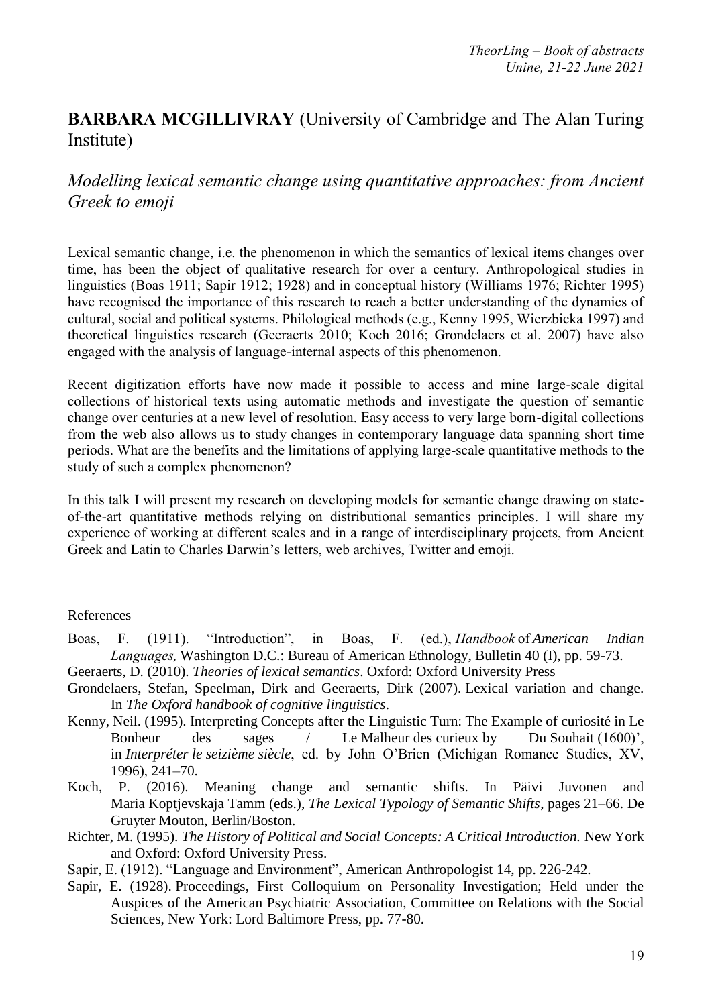## **BARBARA MCGILLIVRAY** (University of Cambridge and The Alan Turing Institute)

### *Modelling lexical semantic change using quantitative approaches: from Ancient Greek to emoji*

Lexical semantic change, i.e. the phenomenon in which the semantics of lexical items changes over time, has been the object of qualitative research for over a century. Anthropological studies in linguistics (Boas 1911; Sapir 1912; 1928) and in conceptual history (Williams 1976; Richter 1995) have recognised the importance of this research to reach a better understanding of the dynamics of cultural, social and political systems. Philological methods (e.g., Kenny 1995, Wierzbicka 1997) and theoretical linguistics research (Geeraerts 2010; Koch 2016; Grondelaers et al. 2007) have also engaged with the analysis of language-internal aspects of this phenomenon.

Recent digitization efforts have now made it possible to access and mine large-scale digital collections of historical texts using automatic methods and investigate the question of semantic change over centuries at a new level of resolution. Easy access to very large born-digital collections from the web also allows us to study changes in contemporary language data spanning short time periods. What are the benefits and the limitations of applying large-scale quantitative methods to the study of such a complex phenomenon?

In this talk I will present my research on developing models for semantic change drawing on stateof-the-art quantitative methods relying on distributional semantics principles. I will share my experience of working at different scales and in a range of interdisciplinary projects, from Ancient Greek and Latin to Charles Darwin's letters, web archives, Twitter and emoji.

#### References

- Boas, F. (1911). "Introduction", in Boas, F. (ed.), *Handbook*of *American Indian Languages,*Washington D.C.: Bureau of American Ethnology, Bulletin 40 (I), pp. 59-73.
- Geeraerts, D. (2010). *Theories of lexical semantics*. Oxford: Oxford University Press
- Grondelaers, Stefan, Speelman, Dirk and Geeraerts, Dirk (2007). Lexical variation and change. In *The Oxford handbook of cognitive linguistics*.
- Kenny, Neil. (1995). Interpreting Concepts after the Linguistic Turn: The Example of curiosité in Le Bonheur des sages / Le Malheur des curieux by Du Souhait (1600)', in *Interpréter le seizième siècle*, ed. by John O'Brien (Michigan Romance Studies, XV, 1996), 241–70.
- Koch, P. (2016). Meaning change and semantic shifts. In Päivi Juvonen and Maria Koptjevskaja Tamm (eds.), *The Lexical Typology of Semantic Shifts*, pages 21–66. De Gruyter Mouton, Berlin/Boston.
- Richter, M. (1995). *The History of Political and Social Concepts: A Critical Introduction.* New York and Oxford: Oxford University Press.
- Sapir, E. (1912). "Language and Environment", American Anthropologist 14, pp. 226-242.
- Sapir, E. (1928). Proceedings, First Colloquium on Personality Investigation; Held under the Auspices of the American Psychiatric Association, Committee on Relations with the Social Sciences, New York: Lord Baltimore Press, pp. 77-80.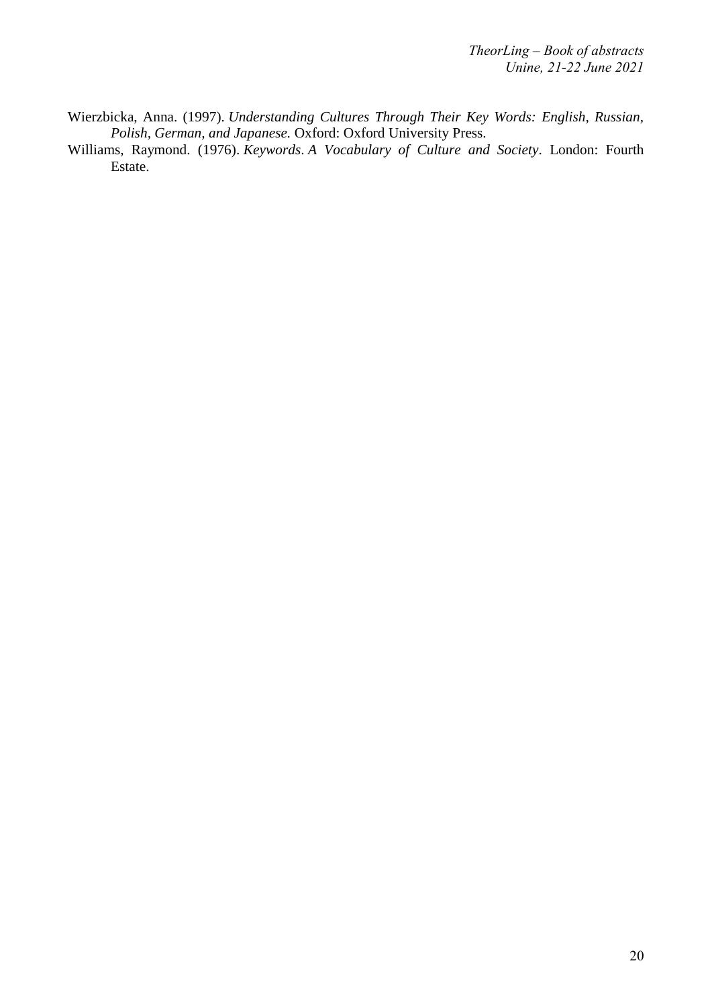- Wierzbicka, Anna. (1997). *Understanding Cultures Through Their Key Words: English, Russian, Polish, German, and Japanese.* Oxford: Oxford University Press.
- Williams, Raymond. (1976). *Keywords*. *A Vocabulary of Culture and Society*. London: Fourth Estate.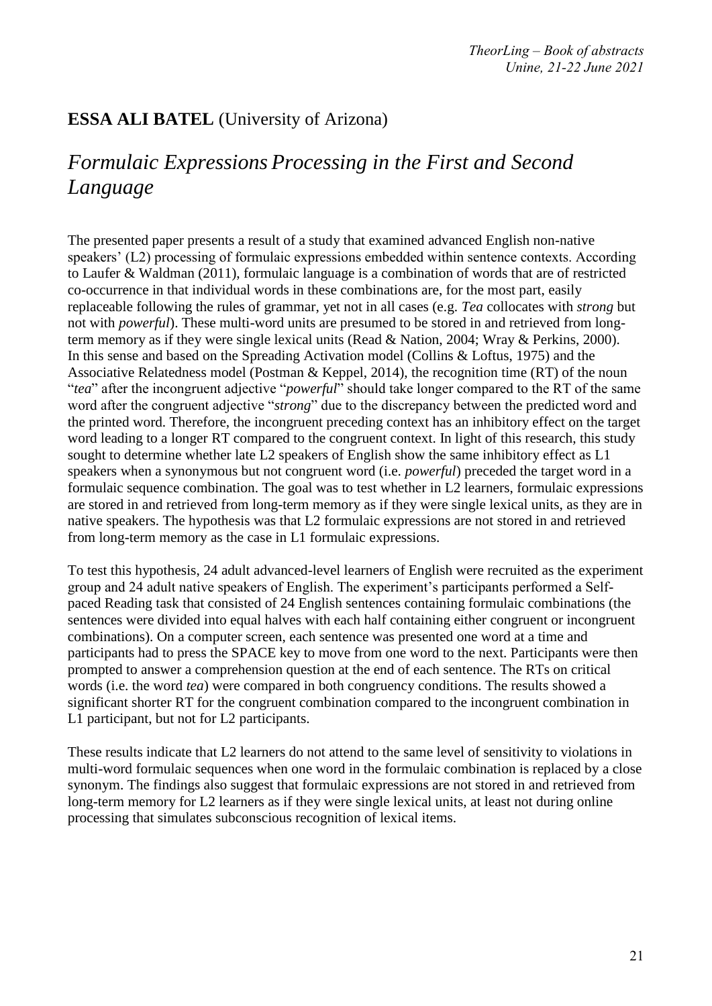# **ESSA ALI BATEL** (University of Arizona)

# *Formulaic Expressions Processing in the First and Second Language*

The presented paper presents a result of a study that examined advanced English non-native speakers' (L2) processing of formulaic expressions embedded within sentence contexts. According to Laufer & Waldman (2011), formulaic language is a combination of words that are of restricted co-occurrence in that individual words in these combinations are, for the most part, easily replaceable following the rules of grammar, yet not in all cases (e.g. *Tea* collocates with *strong* but not with *powerful*). These multi-word units are presumed to be stored in and retrieved from longterm memory as if they were single lexical units (Read & Nation, 2004; Wray & Perkins, 2000). In this sense and based on the Spreading Activation model (Collins & Loftus, 1975) and the Associative Relatedness model (Postman & Keppel, 2014), the recognition time (RT) of the noun "*tea*" after the incongruent adjective "*powerful*" should take longer compared to the RT of the same word after the congruent adjective "*strong*" due to the discrepancy between the predicted word and the printed word. Therefore, the incongruent preceding context has an inhibitory effect on the target word leading to a longer RT compared to the congruent context. In light of this research, this study sought to determine whether late L2 speakers of English show the same inhibitory effect as L1 speakers when a synonymous but not congruent word (i.e. *powerful*) preceded the target word in a formulaic sequence combination. The goal was to test whether in L2 learners, formulaic expressions are stored in and retrieved from long-term memory as if they were single lexical units, as they are in native speakers. The hypothesis was that L2 formulaic expressions are not stored in and retrieved from long-term memory as the case in L1 formulaic expressions.

To test this hypothesis, 24 adult advanced-level learners of English were recruited as the experiment group and 24 adult native speakers of English. The experiment's participants performed a Selfpaced Reading task that consisted of 24 English sentences containing formulaic combinations (the sentences were divided into equal halves with each half containing either congruent or incongruent combinations). On a computer screen, each sentence was presented one word at a time and participants had to press the SPACE key to move from one word to the next. Participants were then prompted to answer a comprehension question at the end of each sentence. The RTs on critical words (i.e. the word *tea*) were compared in both congruency conditions. The results showed a significant shorter RT for the congruent combination compared to the incongruent combination in L1 participant, but not for L2 participants.

These results indicate that L2 learners do not attend to the same level of sensitivity to violations in multi-word formulaic sequences when one word in the formulaic combination is replaced by a close synonym. The findings also suggest that formulaic expressions are not stored in and retrieved from long-term memory for L2 learners as if they were single lexical units, at least not during online processing that simulates subconscious recognition of lexical items.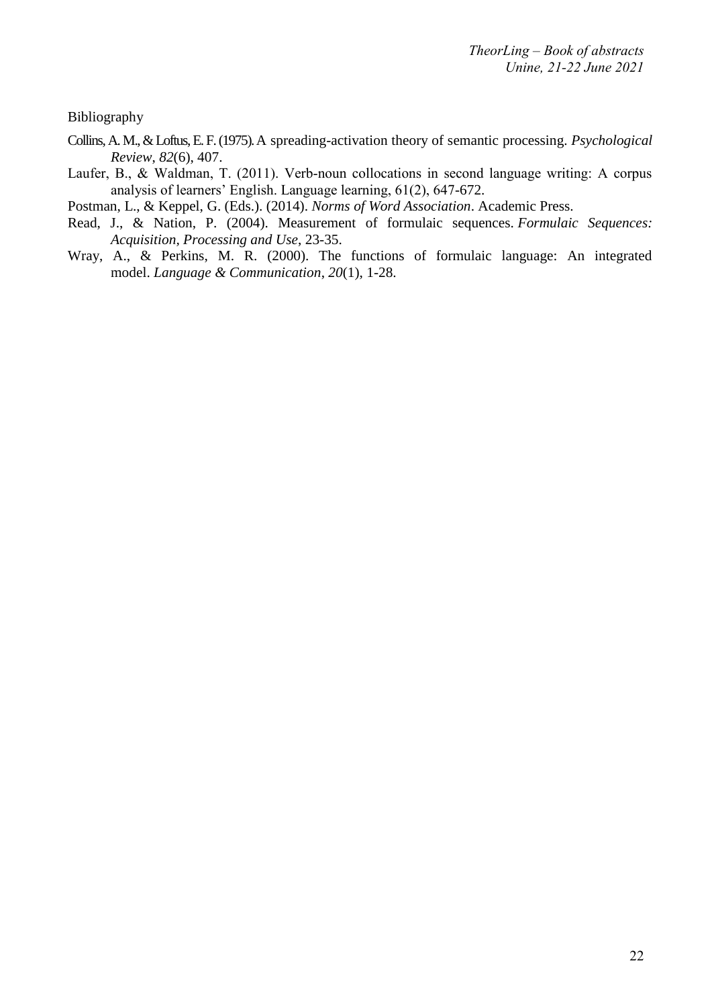Bibliography

- Collins, A. M., & Loftus, E. F. (1975).A spreading-activation theory of semantic processing. *Psychological Review*, *82*(6), 407.
- Laufer, B., & Waldman, T. (2011). Verb-noun collocations in second language writing: A corpus analysis of learners' English. Language learning, 61(2), 647-672.

Postman, L., & Keppel, G. (Eds.). (2014). *Norms of Word Association*. Academic Press.

- Read, J., & Nation, P. (2004). Measurement of formulaic sequences. *Formulaic Sequences: Acquisition, Processing and Use*, 23-35.
- Wray, A., & Perkins, M. R. (2000). The functions of formulaic language: An integrated model. *Language & Communication*, *20*(1), 1-28.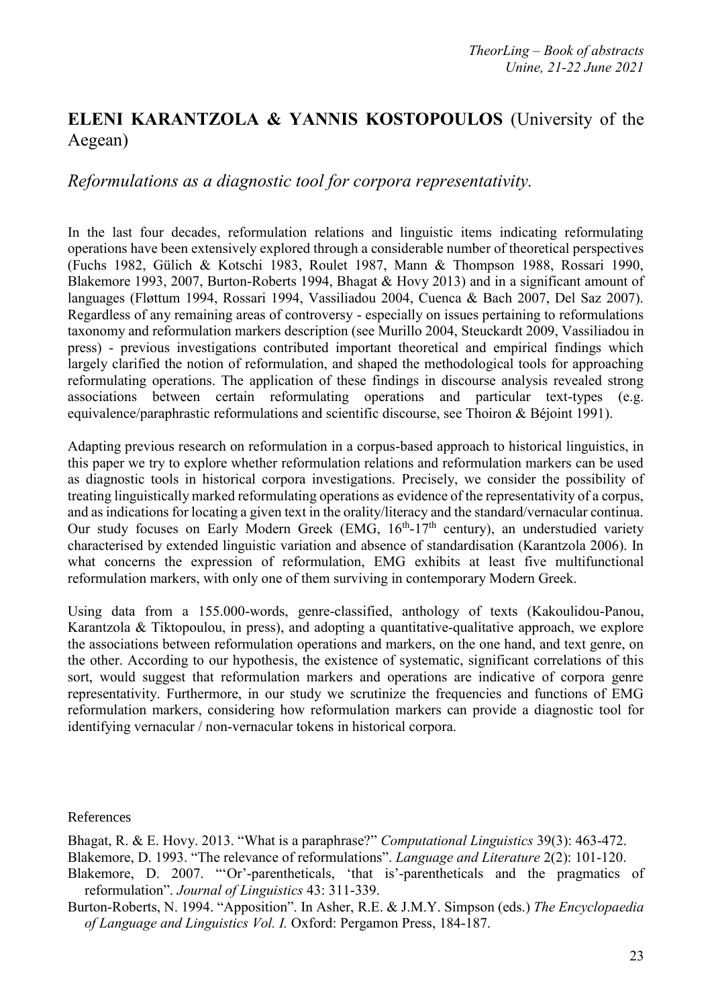# **ELENI KARANTZOLA & YANNIS KOSTOPOULOS** (University of the Aegean)

### *Reformulations as a diagnostic tool for corpora representativity.*

In the last four decades, reformulation relations and linguistic items indicating reformulating operations have been extensively explored through a considerable number of theoretical perspectives (Fuchs 1982, Gülich & Kotschi 1983, Roulet 1987, Mann & Thompson 1988, Rossari 1990, Blakemore 1993, 2007, Burton-Roberts 1994, Bhagat & Hovy 2013) and in a significant amount of languages (Fløttum 1994, Rossari 1994, Vassiliadou 2004, Cuenca & Bach 2007, Del Saz 2007). Regardless of any remaining areas of controversy - especially on issues pertaining to reformulations taxonomy and reformulation markers description (see Murillo 2004, Steuckardt 2009, Vassiliadou in press) - previous investigations contributed important theoretical and empirical findings which largely clarified the notion of reformulation, and shaped the methodological tools for approaching reformulating operations. The application of these findings in discourse analysis revealed strong associations between certain reformulating operations and particular text-types (e.g. equivalence/paraphrastic reformulations and scientific discourse, see Thoiron & Béjoint 1991).

Adapting previous research on reformulation in a corpus-based approach to historical linguistics, in this paper we try to explore whether reformulation relations and reformulation markers can be used as diagnostic tools in historical corpora investigations. Precisely, we consider the possibility of treating linguistically marked reformulating operations as evidence of the representativity of a corpus, and as indications for locating a given text in the orality/literacy and the standard/vernacular continua. Our study focuses on Early Modern Greek (EMG, 16<sup>th</sup>-17<sup>th</sup> century), an understudied variety characterised by extended linguistic variation and absence of standardisation (Karantzola 2006). In what concerns the expression of reformulation, EMG exhibits at least five multifunctional reformulation markers, with only one of them surviving in contemporary Modern Greek.

Using data from a 155.000-words, genre-classified, anthology of texts (Kakoulidou-Panou, Karantzola & Tiktopoulou, in press), and adopting a quantitative-qualitative approach, we explore the associations between reformulation operations and markers, on the one hand, and text genre, on the other. According to our hypothesis, the existence of systematic, significant correlations of this sort, would suggest that reformulation markers and operations are indicative of corpora genre representativity. Furthermore, in our study we scrutinize the frequencies and functions of EMG reformulation markers, considering how reformulation markers can provide a diagnostic tool for identifying vernacular / non-vernacular tokens in historical corpora.

References

Bhagat, R. & E. Hovy. 2013. "What is a paraphrase?" *Computational Linguistics* 39(3): 463-472.

Blakemore, D. 1993. "The relevance of reformulations". *Language and Literature* 2(2): 101-120.

- Blakemore, D. 2007. "'Or'-parentheticals, 'that is'-parentheticals and the pragmatics of reformulation". *Journal of Linguistics* 43: 311-339.
- Burton-Roberts, N. 1994. "Apposition". In Asher, R.E. & J.M.Y. Simpson (eds.) *The Encyclopaedia of Language and Linguistics Vol. I.* Oxford: Pergamon Press, 184-187.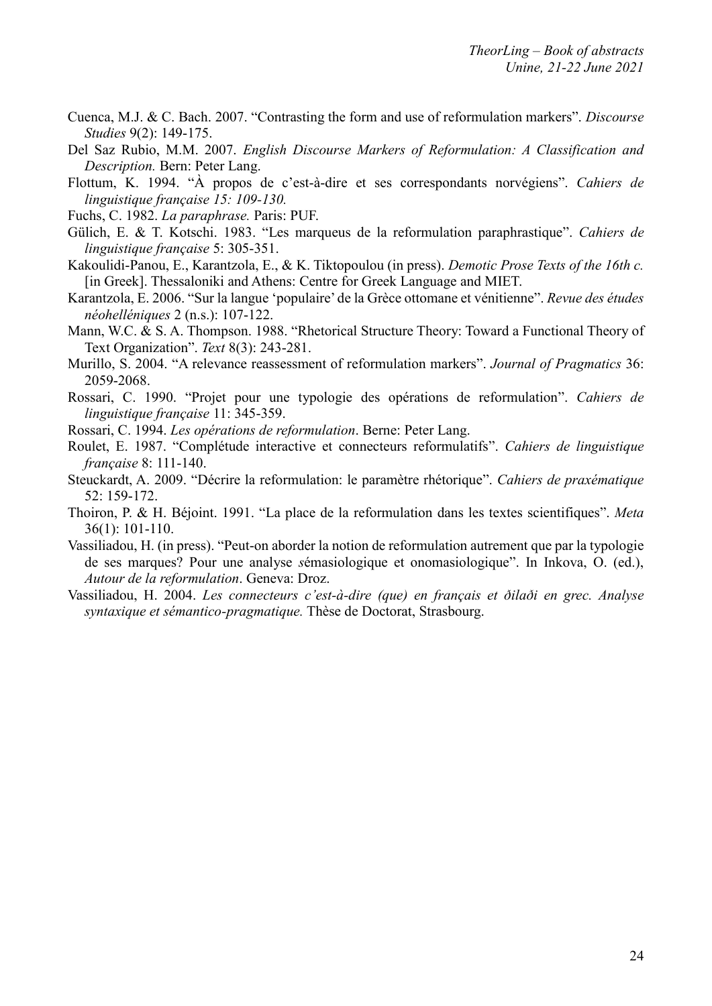- Cuenca, M.J. & C. Bach. 2007. "Contrasting the form and use of reformulation markers". *Discourse Studies* 9(2): 149-175.
- Del Saz Rubio, M.M. 2007. *English Discourse Markers of Reformulation: A Classification and Description.* Bern: Peter Lang.
- Flottum, K. 1994. "À propos de c'est-à-dire et ses correspondants norvégiens". *Cahiers de linguistique française 15: 109-130.*
- Fuchs, C. 1982. *La paraphrase.* Paris: PUF.
- Gülich, E. & T. Kotschi. 1983. "Les marqueus de la reformulation paraphrastique". *Cahiers de linguistique française* 5: 305-351.
- Kakoulidi-Panou, E., Karantzola, Ε., & K. Tiktopoulou (in press). *Demotic Prose Texts of the 16th c.* [in Greek]. Thessaloniki and Athens: Centre for Greek Language and MIET.
- Karantzola, E. 2006. "Sur la langue 'populaire' de la Grèce ottomane et vénitienne". *Revue des études néohelléniques* 2 (n.s.): 107-122.
- Mann, W.C. & S. A. Thompson. 1988. "Rhetorical Structure Theory: Toward a Functional Theory of Text Organization". *Text* 8(3): 243-281.
- Murillo, S. 2004. "A relevance reassessment of reformulation markers". *Journal of Pragmatics* 36: 2059-2068.
- Rossari, C. 1990. "Projet pour une typologie des opérations de reformulation". *Cahiers de linguistique française* 11: 345-359.
- Rossari, C. 1994. *Les opérations de reformulation*. Berne: Peter Lang.
- Roulet, E. 1987. "Complétude interactive et connecteurs reformulatifs". *Cahiers de linguistique française* 8: 111-140.
- Steuckardt, A. 2009. "Décrire la reformulation: le paramètre rhétorique". *Cahiers de praxématique* 52: 159-172.
- Thoiron, P. & H. Béjoint. 1991. "La place de la reformulation dans les textes scientifiques". *Meta*  36(1): 101-110.
- Vassiliadou, H. (in press). "Peut-on aborder la notion de reformulation autrement que par la typologie de ses marques? Pour une analyse *s*émasiologique et onomasiologique". In Inkova, O. (ed.), *Autour de la reformulation*. Geneva: Droz.
- Vassiliadou, H. 2004. *Les connecteurs c'est-à-dire (que) en français et ðilaði en grec. Analyse syntaxique et sémantico-pragmatique.* Thèse de Doctorat, Strasbourg.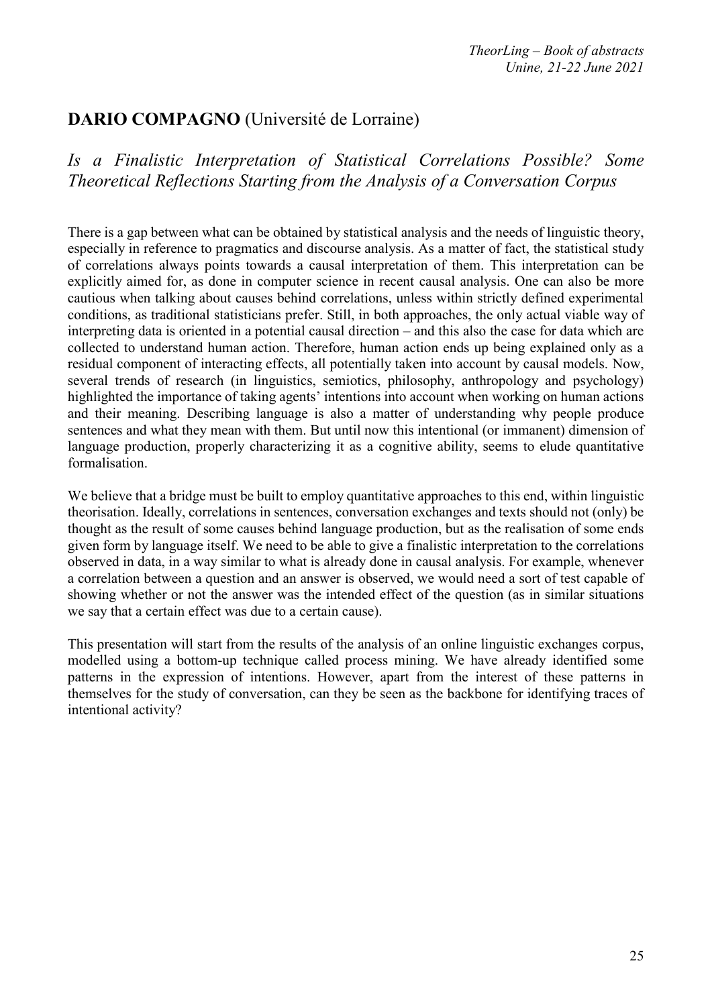## **DARIO COMPAGNO** (Université de Lorraine)

*Is a Finalistic Interpretation of Statistical Correlations Possible? Some Theoretical Reflections Starting from the Analysis of a Conversation Corpus*

There is a gap between what can be obtained by statistical analysis and the needs of linguistic theory, especially in reference to pragmatics and discourse analysis. As a matter of fact, the statistical study of correlations always points towards a causal interpretation of them. This interpretation can be explicitly aimed for, as done in computer science in recent causal analysis. One can also be more cautious when talking about causes behind correlations, unless within strictly defined experimental conditions, as traditional statisticians prefer. Still, in both approaches, the only actual viable way of interpreting data is oriented in a potential causal direction – and this also the case for data which are collected to understand human action. Therefore, human action ends up being explained only as a residual component of interacting effects, all potentially taken into account by causal models. Now, several trends of research (in linguistics, semiotics, philosophy, anthropology and psychology) highlighted the importance of taking agents' intentions into account when working on human actions and their meaning. Describing language is also a matter of understanding why people produce sentences and what they mean with them. But until now this intentional (or immanent) dimension of language production, properly characterizing it as a cognitive ability, seems to elude quantitative formalisation.

We believe that a bridge must be built to employ quantitative approaches to this end, within linguistic theorisation. Ideally, correlations in sentences, conversation exchanges and texts should not (only) be thought as the result of some causes behind language production, but as the realisation of some ends given form by language itself. We need to be able to give a finalistic interpretation to the correlations observed in data, in a way similar to what is already done in causal analysis. For example, whenever a correlation between a question and an answer is observed, we would need a sort of test capable of showing whether or not the answer was the intended effect of the question (as in similar situations we say that a certain effect was due to a certain cause).

This presentation will start from the results of the analysis of an online linguistic exchanges corpus, modelled using a bottom-up technique called process mining. We have already identified some patterns in the expression of intentions. However, apart from the interest of these patterns in themselves for the study of conversation, can they be seen as the backbone for identifying traces of intentional activity?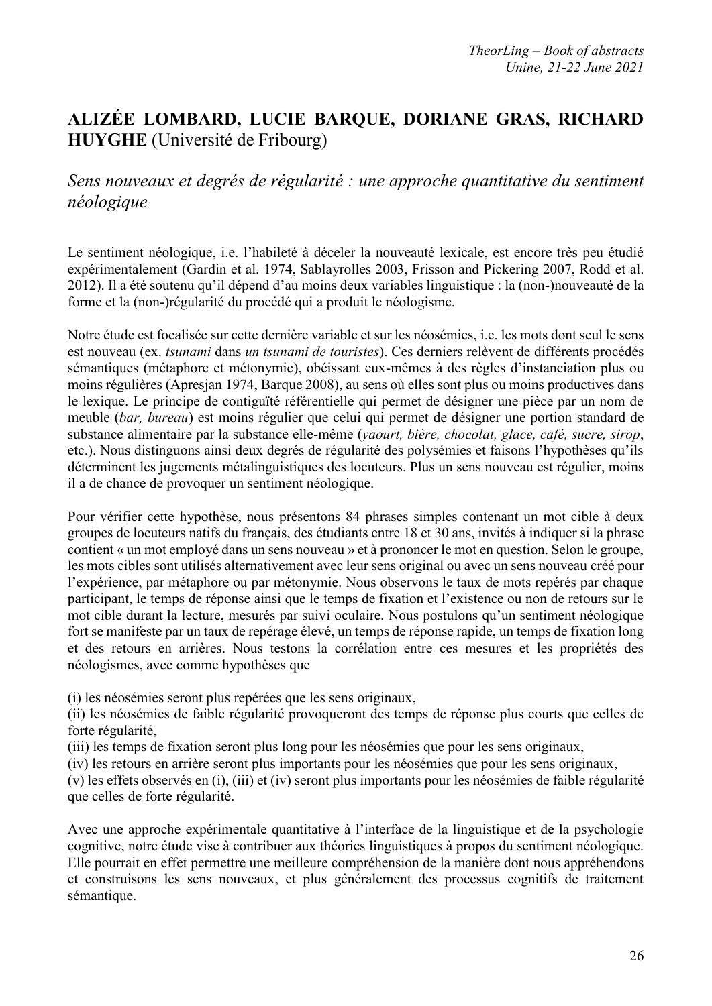# **ALIZÉE LOMBARD, LUCIE BARQUE, DORIANE GRAS, RICHARD HUYGHE** (Université de Fribourg)

### *Sens nouveaux et degrés de régularité : une approche quantitative du sentiment néologique*

Le sentiment néologique, i.e. l'habileté à déceler la nouveauté lexicale, est encore très peu étudié expérimentalement (Gardin et al. 1974, Sablayrolles 2003, Frisson and Pickering 2007, Rodd et al. 2012). Il a été soutenu qu'il dépend d'au moins deux variables linguistique : la (non-)nouveauté de la forme et la (non-)régularité du procédé qui a produit le néologisme.

Notre étude est focalisée sur cette dernière variable et sur les néosémies, i.e. les mots dont seul le sens est nouveau (ex. *tsunami* dans *un tsunami de touristes*). Ces derniers relèvent de différents procédés sémantiques (métaphore et métonymie), obéissant eux-mêmes à des règles d'instanciation plus ou moins régulières (Apresjan 1974, Barque 2008), au sens où elles sont plus ou moins productives dans le lexique. Le principe de contiguïté référentielle qui permet de désigner une pièce par un nom de meuble (*bar, bureau*) est moins régulier que celui qui permet de désigner une portion standard de substance alimentaire par la substance elle-même (*yaourt, bière, chocolat, glace, café, sucre, sirop*, etc.). Nous distinguons ainsi deux degrés de régularité des polysémies et faisons l'hypothèses qu'ils déterminent les jugements métalinguistiques des locuteurs. Plus un sens nouveau est régulier, moins il a de chance de provoquer un sentiment néologique.

Pour vérifier cette hypothèse, nous présentons 84 phrases simples contenant un mot cible à deux groupes de locuteurs natifs du français, des étudiants entre 18 et 30 ans, invités à indiquer si la phrase contient « un mot employé dans un sens nouveau » et à prononcer le mot en question. Selon le groupe, les mots cibles sont utilisés alternativement avec leur sens original ou avec un sens nouveau créé pour l'expérience, par métaphore ou par métonymie. Nous observons le taux de mots repérés par chaque participant, le temps de réponse ainsi que le temps de fixation et l'existence ou non de retours sur le mot cible durant la lecture, mesurés par suivi oculaire. Nous postulons qu'un sentiment néologique fort se manifeste par un taux de repérage élevé, un temps de réponse rapide, un temps de fixation long et des retours en arrières. Nous testons la corrélation entre ces mesures et les propriétés des néologismes, avec comme hypothèses que

(i) les néosémies seront plus repérées que les sens originaux,

(ii) les néosémies de faible régularité provoqueront des temps de réponse plus courts que celles de forte régularité,

(iii) les temps de fixation seront plus long pour les néosémies que pour les sens originaux,

(iv) les retours en arrière seront plus importants pour les néosémies que pour les sens originaux,

(v) les effets observés en (i), (iii) et (iv) seront plus importants pour les néosémies de faible régularité que celles de forte régularité.

Avec une approche expérimentale quantitative à l'interface de la linguistique et de la psychologie cognitive, notre étude vise à contribuer aux théories linguistiques à propos du sentiment néologique. Elle pourrait en effet permettre une meilleure compréhension de la manière dont nous appréhendons et construisons les sens nouveaux, et plus généralement des processus cognitifs de traitement sémantique.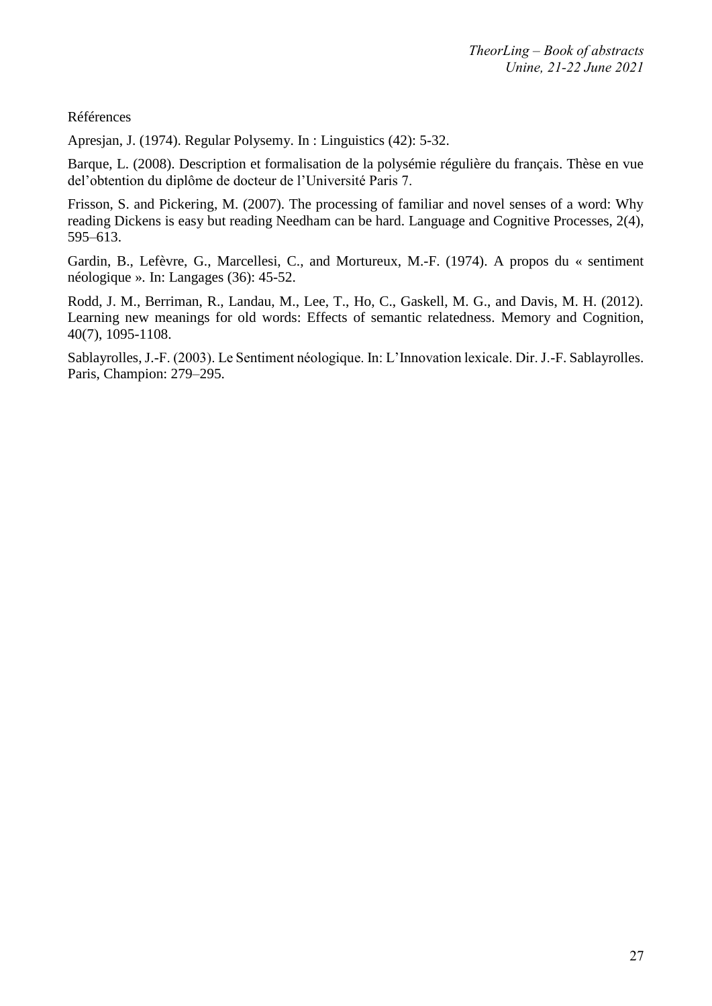Références

Apresjan, J. (1974). Regular Polysemy. In : Linguistics (42): 5-32.

Barque, L. (2008). Description et formalisation de la polysémie régulière du français. Thèse en vue del'obtention du diplôme de docteur de l'Université Paris 7.

Frisson, S. and Pickering, M. (2007). The processing of familiar and novel senses of a word: Why reading Dickens is easy but reading Needham can be hard. Language and Cognitive Processes, 2(4), 595–613.

Gardin, B., Lefèvre, G., Marcellesi, C., and Mortureux, M.-F. (1974). A propos du « sentiment néologique ». In: Langages (36): 45-52.

Rodd, J. M., Berriman, R., Landau, M., Lee, T., Ho, C., Gaskell, M. G., and Davis, M. H. (2012). Learning new meanings for old words: Effects of semantic relatedness. Memory and Cognition, 40(7), 1095-1108.

Sablayrolles, J.-F. (2003). Le Sentiment néologique. In: L'Innovation lexicale. Dir. J.-F. Sablayrolles. Paris, Champion: 279–295.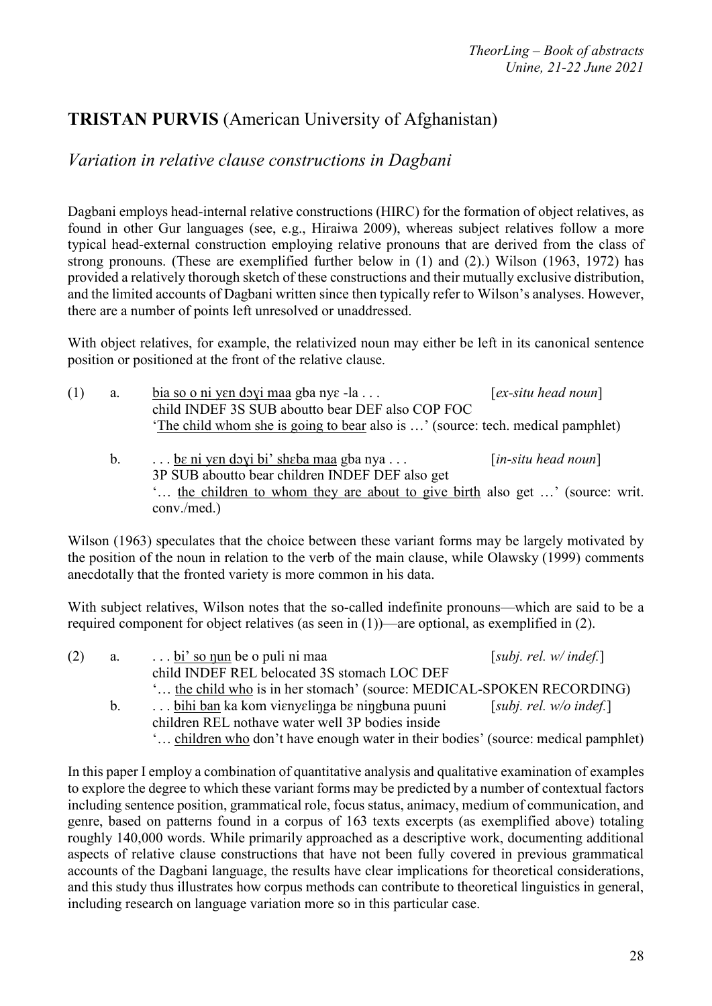# **TRISTAN PURVIS** (American University of Afghanistan)

*Variation in relative clause constructions in Dagbani*

Dagbani employs head-internal relative constructions (HIRC) for the formation of object relatives, as found in other Gur languages (see, e.g., Hiraiwa 2009), whereas subject relatives follow a more typical head-external construction employing relative pronouns that are derived from the class of strong pronouns. (These are exemplified further below in (1) and (2).) Wilson (1963, 1972) has provided a relatively thorough sketch of these constructions and their mutually exclusive distribution, and the limited accounts of Dagbani written since then typically refer to Wilson's analyses. However, there are a number of points left unresolved or unaddressed.

With object relatives, for example, the relativized noun may either be left in its canonical sentence position or positioned at the front of the relative clause.

| (1) | a. | $\frac{\text{bia}}{\text{so}}$ o ni yen doyi maa gba nye -la                                                                        | $[ex\text{-}situ\ head\ noun]$             |  |
|-----|----|-------------------------------------------------------------------------------------------------------------------------------------|--------------------------------------------|--|
|     |    | child INDEF 3S SUB aboutto bear DEF also COP FOC<br>'The child whom she is going to bear also is ' (source: tech. medical pamphlet) |                                            |  |
|     |    |                                                                                                                                     |                                            |  |
|     | b. | $\ldots$ be ni yen doyi bi' sheba maa gba nya                                                                                       | $\lceil$ <i>in-situ head noun</i> $\rceil$ |  |
|     |    | 3P SUB about to bear children INDEF DEF also get                                                                                    |                                            |  |
|     |    | the objection to whom they are about to give high also get (source: write                                                           |                                            |  |

'… the children to whom they are about to give birth also get …' (source: writ. conv./med.)

Wilson (1963) speculates that the choice between these variant forms may be largely motivated by the position of the noun in relation to the verb of the main clause, while Olawsky (1999) comments anecdotally that the fronted variety is more common in his data.

With subject relatives, Wilson notes that the so-called indefinite pronouns—which are said to be a required component for object relatives (as seen in (1))—are optional, as exemplified in (2).

| (2) | a.             | bi' so nun be o puli ni maa                                                        | [subj. rel. $w/$ indef.]  |
|-----|----------------|------------------------------------------------------------------------------------|---------------------------|
|     |                | child INDEF REL belocated 3S stomach LOC DEF                                       |                           |
|     |                | ' the child who is in her stomach' (source: MEDICAL-SPOKEN RECORDING)              |                           |
|     | $\mathbf{b}$ . | bihi ban ka kom vienyelinga be ningbuna puuni                                      | [subj. rel. $w/o$ indef.] |
|     |                | children REL nothave water well 3P bodies inside                                   |                           |
|     |                | ' children who don't have enough water in their bodies' (source: medical pamphlet) |                           |

In this paper I employ a combination of quantitative analysis and qualitative examination of examples to explore the degree to which these variant forms may be predicted by a number of contextual factors including sentence position, grammatical role, focus status, animacy, medium of communication, and genre, based on patterns found in a corpus of 163 texts excerpts (as exemplified above) totaling roughly 140,000 words. While primarily approached as a descriptive work, documenting additional aspects of relative clause constructions that have not been fully covered in previous grammatical accounts of the Dagbani language, the results have clear implications for theoretical considerations, and this study thus illustrates how corpus methods can contribute to theoretical linguistics in general, including research on language variation more so in this particular case.